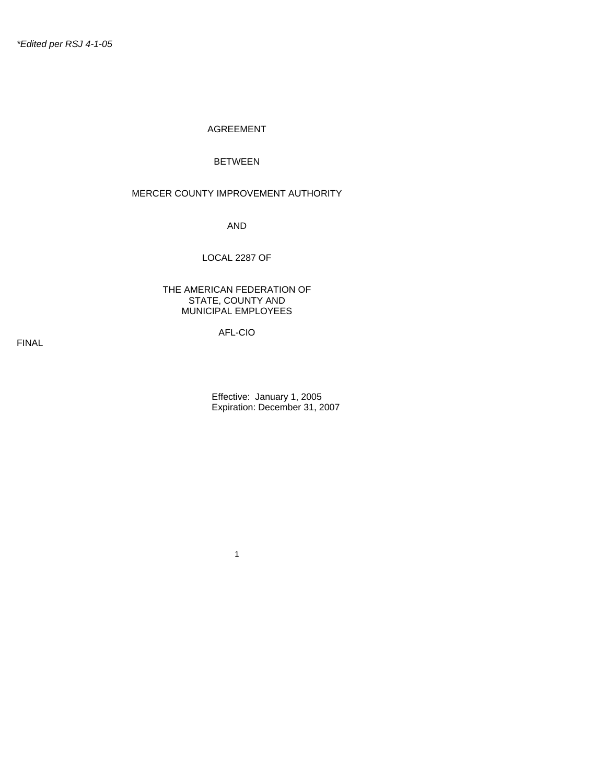#### AGREEMENT

#### BETWEEN

#### MERCER COUNTY IMPROVEMENT AUTHORITY

AND

#### LOCAL 2287 OF

#### THE AMERICAN FEDERATION OF STATE, COUNTY AND MUNICIPAL EMPLOYEES

# AFL-CIO

1

FINAL

 Effective: January 1, 2005 Expiration: December 31, 2007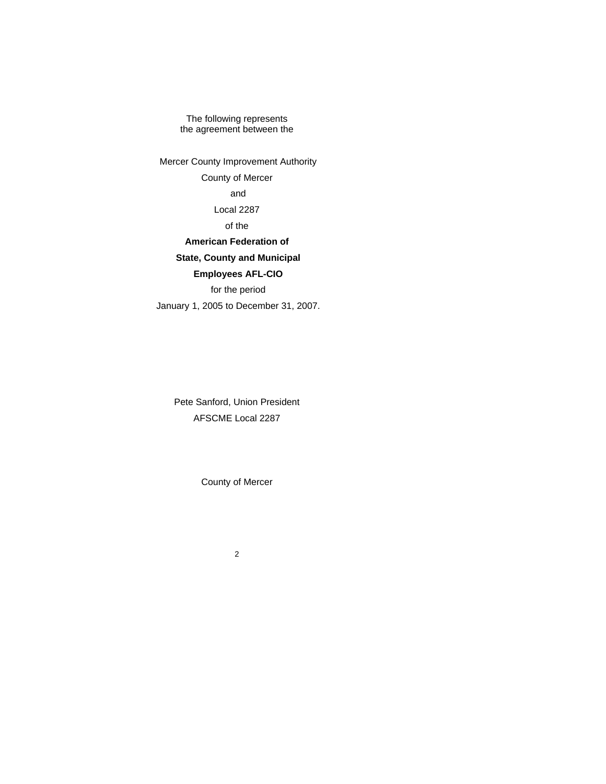The following represents the agreement between the

 Mercer County Improvement Authority County of Mercer and Local 2287 of the **American Federation of State, County and Municipal Employees AFL-CIO** for the period January 1, 2005 to December 31, 2007.

> Pete Sanford, Union President AFSCME Local 2287

> > County of Mercer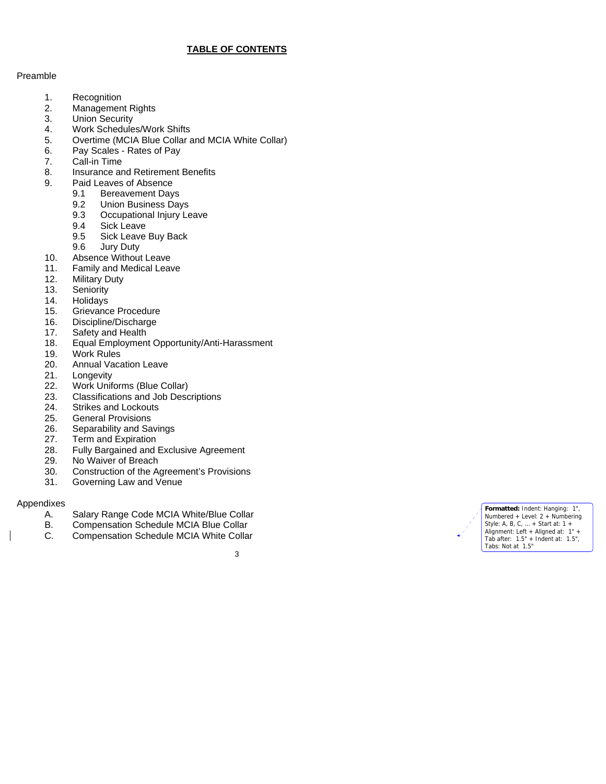# **TABLE OF CONTENTS**

#### Preamble

- 1. Recognition
- 2. Management Rights<br>3. Union Security
- **Union Security**
- 4. Work Schedules/Work Shifts<br>5. Overtime (MCIA Blue Collar a
- 5. Overtime (MCIA Blue Collar and MCIA White Collar)
- 6. Pay Scales Rates of Pay
- 7. Call-in Time
- 8. Insurance and Retirement Benefits
- 9. Paid Leaves of Absence
	- 9.1 Bereavement Days
	- 9.2 Union Business Days
	- 9.3 Occupational Injury Leave<br>9.4 Sick Leave
	- Sick Leave
	- 9.5 Sick Leave Buy Back<br>9.6 Jury Duty
	- Jury Duty
- 10. Absence Without Leave
- 11. Family and Medical Leave
- 12. Military Duty
- 13. Seniority
- 14. Holidays
- 15. Grievance Procedure
- 16. Discipline/Discharge
- 17. Safety and Health
- 18. Equal Employment Opportunity/Anti-Harassment
- 19. Work Rules<br>20. Annual Vaca
- Annual Vacation Leave
- 21. Longevity<br>22. Work Unif
- Work Uniforms (Blue Collar)
- 23. Classifications and Job Descriptions<br>24. Strikes and Lockouts
- Strikes and Lockouts
- 25. General Provisions
- 26. Separability and Savings
- 27. Term and Expiration
- 28. Fully Bargained and Exclusive Agreement<br>29. No Waiver of Breach
- No Waiver of Breach
- 30. Construction of the Agreement's Provisions
- 31. Governing Law and Venue

#### Appendixes

- A. Salary Range Code MCIA White/Blue Collar
- Compensation Schedule MCIA Blue Collar
- C. Compensation Schedule MCIA White Collar



**Formatted:** Indent: Hanging: 1", Numbered + Level: 2 + Numbering Style: A, B, C, … + Start at: 1 + Alignment: Left + Aligned at: 1" + Tab after: 1.5" + Indent at: 1.5", Tabs: Not at 1.5"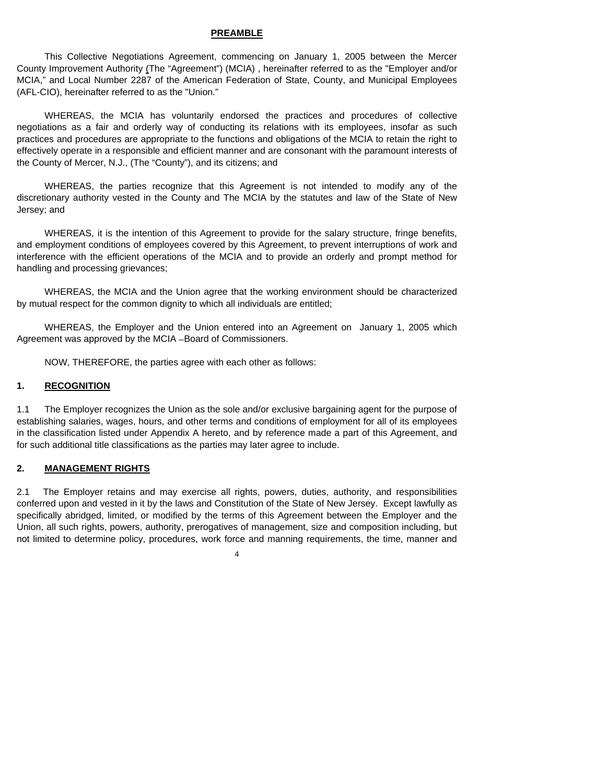#### **PREAMBLE**

 This Collective Negotiations Agreement, commencing on January 1, 2005 between the Mercer County Improvement Authority (The "Agreement") (MCIA) , hereinafter referred to as the "Employer and/or MCIA," and Local Number 2287 of the American Federation of State, County, and Municipal Employees (AFL-CIO), hereinafter referred to as the "Union."

 WHEREAS, the MCIA has voluntarily endorsed the practices and procedures of collective negotiations as a fair and orderly way of conducting its relations with its employees, insofar as such practices and procedures are appropriate to the functions and obligations of the MCIA to retain the right to effectively operate in a responsible and efficient manner and are consonant with the paramount interests of the County of Mercer, N.J., (The "County"), and its citizens; and

 WHEREAS, the parties recognize that this Agreement is not intended to modify any of the discretionary authority vested in the County and The MCIA by the statutes and law of the State of New Jersey; and

 WHEREAS, it is the intention of this Agreement to provide for the salary structure, fringe benefits, and employment conditions of employees covered by this Agreement, to prevent interruptions of work and interference with the efficient operations of the MCIA and to provide an orderly and prompt method for handling and processing grievances;

 WHEREAS, the MCIA and the Union agree that the working environment should be characterized by mutual respect for the common dignity to which all individuals are entitled;

 WHEREAS, the Employer and the Union entered into an Agreement on January 1, 2005 which Agreement was approved by the MCIA - Board of Commissioners.

NOW, THEREFORE, the parties agree with each other as follows:

#### **1. RECOGNITION**

1.1 The Employer recognizes the Union as the sole and/or exclusive bargaining agent for the purpose of establishing salaries, wages, hours, and other terms and conditions of employment for all of its employees in the classification listed under Appendix A hereto, and by reference made a part of this Agreement, and for such additional title classifications as the parties may later agree to include.

#### **2. MANAGEMENT RIGHTS**

2.1 The Employer retains and may exercise all rights, powers, duties, authority, and responsibilities conferred upon and vested in it by the laws and Constitution of the State of New Jersey. Except lawfully as specifically abridged, limited, or modified by the terms of this Agreement between the Employer and the Union, all such rights, powers, authority, prerogatives of management, size and composition including, but not limited to determine policy, procedures, work force and manning requirements, the time, manner and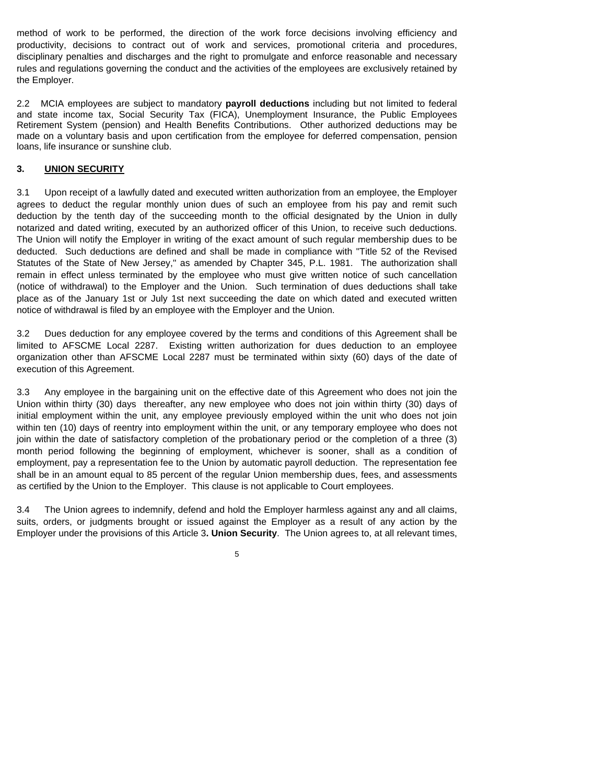method of work to be performed, the direction of the work force decisions involving efficiency and productivity, decisions to contract out of work and services, promotional criteria and procedures, disciplinary penalties and discharges and the right to promulgate and enforce reasonable and necessary rules and regulations governing the conduct and the activities of the employees are exclusively retained by the Employer.

2.2 MCIA employees are subject to mandatory **payroll deductions** including but not limited to federal and state income tax, Social Security Tax (FICA), Unemployment Insurance, the Public Employees Retirement System (pension) and Health Benefits Contributions. Other authorized deductions may be made on a voluntary basis and upon certification from the employee for deferred compensation, pension loans, life insurance or sunshine club.

#### **3. UNION SECURITY**

3.1 Upon receipt of a lawfully dated and executed written authorization from an employee, the Employer agrees to deduct the regular monthly union dues of such an employee from his pay and remit such deduction by the tenth day of the succeeding month to the official designated by the Union in dully notarized and dated writing, executed by an authorized officer of this Union, to receive such deductions. The Union will notify the Employer in writing of the exact amount of such regular membership dues to be deducted. Such deductions are defined and shall be made in compliance with "Title 52 of the Revised Statutes of the State of New Jersey," as amended by Chapter 345, P.L. 1981. The authorization shall remain in effect unless terminated by the employee who must give written notice of such cancellation (notice of withdrawal) to the Employer and the Union. Such termination of dues deductions shall take place as of the January 1st or July 1st next succeeding the date on which dated and executed written notice of withdrawal is filed by an employee with the Employer and the Union.

3.2 Dues deduction for any employee covered by the terms and conditions of this Agreement shall be limited to AFSCME Local 2287. Existing written authorization for dues deduction to an employee organization other than AFSCME Local 2287 must be terminated within sixty (60) days of the date of execution of this Agreement.

3.3 Any employee in the bargaining unit on the effective date of this Agreement who does not join the Union within thirty (30) days thereafter, any new employee who does not join within thirty (30) days of initial employment within the unit, any employee previously employed within the unit who does not join within ten (10) days of reentry into employment within the unit, or any temporary employee who does not join within the date of satisfactory completion of the probationary period or the completion of a three (3) month period following the beginning of employment, whichever is sooner, shall as a condition of employment, pay a representation fee to the Union by automatic payroll deduction. The representation fee shall be in an amount equal to 85 percent of the regular Union membership dues, fees, and assessments as certified by the Union to the Employer. This clause is not applicable to Court employees.

3.4 The Union agrees to indemnify, defend and hold the Employer harmless against any and all claims, suits, orders, or judgments brought or issued against the Employer as a result of any action by the Employer under the provisions of this Article 3**. Union Security**. The Union agrees to, at all relevant times,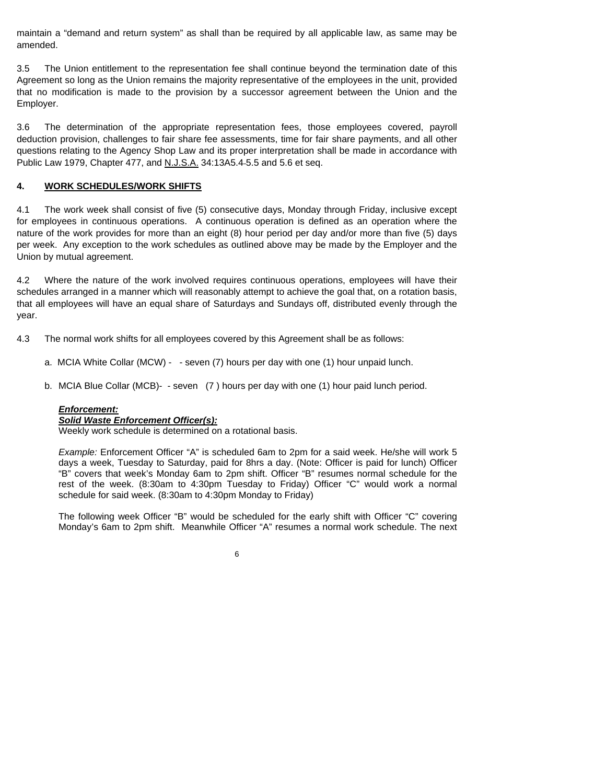maintain a "demand and return system" as shall than be required by all applicable law, as same may be amended.

3.5 The Union entitlement to the representation fee shall continue beyond the termination date of this Agreement so long as the Union remains the majority representative of the employees in the unit, provided that no modification is made to the provision by a successor agreement between the Union and the Employer.

3.6 The determination of the appropriate representation fees, those employees covered, payroll deduction provision, challenges to fair share fee assessments, time for fair share payments, and all other questions relating to the Agency Shop Law and its proper interpretation shall be made in accordance with Public Law 1979, Chapter 477, and N.J.S.A. 34:13A5.4 5.5 and 5.6 et seq.

#### **4. WORK SCHEDULES/WORK SHIFTS**

4.1 The work week shall consist of five (5) consecutive days, Monday through Friday, inclusive except for employees in continuous operations. A continuous operation is defined as an operation where the nature of the work provides for more than an eight (8) hour period per day and/or more than five (5) days per week. Any exception to the work schedules as outlined above may be made by the Employer and the Union by mutual agreement.

4.2 Where the nature of the work involved requires continuous operations, employees will have their schedules arranged in a manner which will reasonably attempt to achieve the goal that, on a rotation basis, that all employees will have an equal share of Saturdays and Sundays off, distributed evenly through the year.

4.3 The normal work shifts for all employees covered by this Agreement shall be as follows:

- a. MCIA White Collar (MCW) - seven (7) hours per day with one (1) hour unpaid lunch.
- b. MCIA Blue Collar (MCB)- seven (7 ) hours per day with one (1) hour paid lunch period.

# *Enforcement:*

#### *Solid Waste Enforcement Officer(s):*

Weekly work schedule is determined on a rotational basis.

*Example:* Enforcement Officer "A" is scheduled 6am to 2pm for a said week. He/she will work 5 days a week, Tuesday to Saturday, paid for 8hrs a day. (Note: Officer is paid for lunch) Officer "B" covers that week's Monday 6am to 2pm shift. Officer "B" resumes normal schedule for the rest of the week. (8:30am to 4:30pm Tuesday to Friday) Officer "C" would work a normal schedule for said week. (8:30am to 4:30pm Monday to Friday)

The following week Officer "B" would be scheduled for the early shift with Officer "C" covering Monday's 6am to 2pm shift. Meanwhile Officer "A" resumes a normal work schedule. The next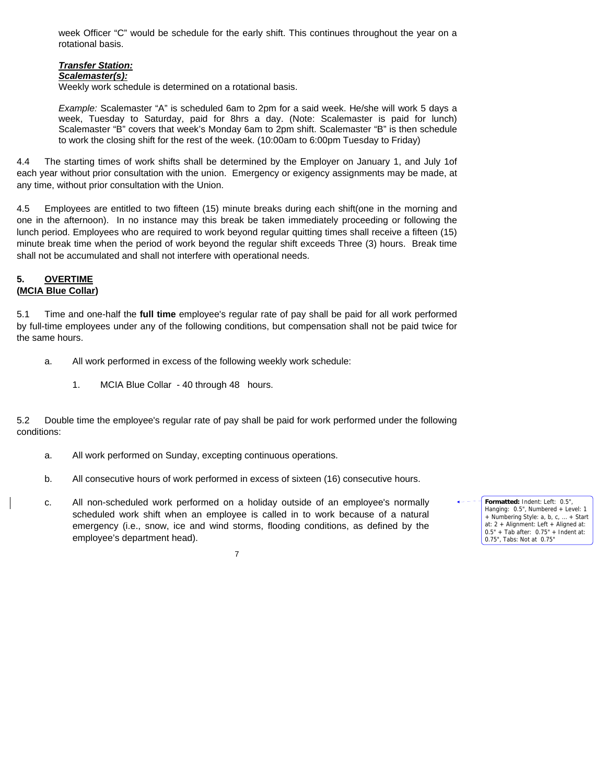week Officer "C" would be schedule for the early shift. This continues throughout the year on a rotational basis.

# *Transfer Station:*

#### *Scalemaster(s):*

Weekly work schedule is determined on a rotational basis.

*Example:* Scalemaster "A" is scheduled 6am to 2pm for a said week. He/she will work 5 days a week, Tuesday to Saturday, paid for 8hrs a day. (Note: Scalemaster is paid for lunch) Scalemaster "B" covers that week's Monday 6am to 2pm shift. Scalemaster "B" is then schedule to work the closing shift for the rest of the week. (10:00am to 6:00pm Tuesday to Friday)

4.4 The starting times of work shifts shall be determined by the Employer on January 1, and July 1of each year without prior consultation with the union. Emergency or exigency assignments may be made, at any time, without prior consultation with the Union.

4.5 Employees are entitled to two fifteen (15) minute breaks during each shift(one in the morning and one in the afternoon). In no instance may this break be taken immediately proceeding or following the lunch period. Employees who are required to work beyond regular quitting times shall receive a fifteen (15) minute break time when the period of work beyond the regular shift exceeds Three (3) hours. Break time shall not be accumulated and shall not interfere with operational needs.

# **5. OVERTIME (MCIA Blue Collar)**

5.1 Time and one-half the **full time** employee's regular rate of pay shall be paid for all work performed

by full-time employees under any of the following conditions, but compensation shall not be paid twice for the same hours.

- a. All work performed in excess of the following weekly work schedule:
	- 1. MCIA Blue Collar 40 through 48 hours.

5.2 Double time the employee's regular rate of pay shall be paid for work performed under the following conditions:

- a. All work performed on Sunday, excepting continuous operations.
- b. All consecutive hours of work performed in excess of sixteen (16) consecutive hours.
- c. All non-scheduled work performed on a holiday outside of an employee's normally scheduled work shift when an employee is called in to work because of a natural emergency (i.e., snow, ice and wind storms, flooding conditions, as defined by the employee's department head).

**Formatted:** Indent: Left: 0.5", Hanging: 0.5", Numbered + Level: 1 + Numbering Style: a, b, c, … + Start at: 2 + Alignment: Left + Aligned at: 0.5" + Tab after: 0.75" + Indent at: 0.75", Tabs: Not at 0.75"

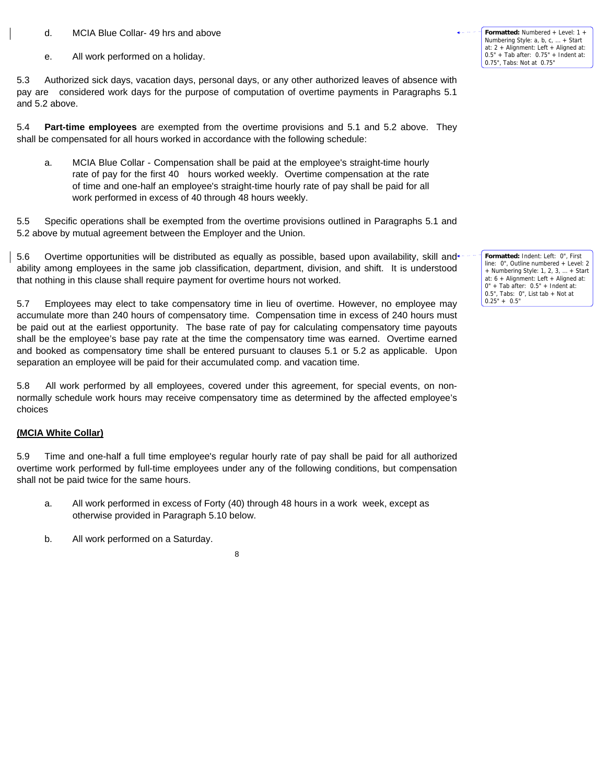- d. MCIA Blue Collar- 49 hrs and above
- e. All work performed on a holiday.

5.3 Authorized sick days, vacation days, personal days, or any other authorized leaves of absence with pay are considered work days for the purpose of computation of overtime payments in Paragraphs 5.1 and 5.2 above.

5.4 **Part-time employees** are exempted from the overtime provisions and 5.1 and 5.2 above. They shall be compensated for all hours worked in accordance with the following schedule:

a. MCIA Blue Collar - Compensation shall be paid at the employee's straight-time hourly rate of pay for the first 40 hours worked weekly. Overtime compensation at the rate of time and one-half an employee's straight-time hourly rate of pay shall be paid for all work performed in excess of 40 through 48 hours weekly.

5.5 Specific operations shall be exempted from the overtime provisions outlined in Paragraphs 5.1 and 5.2 above by mutual agreement between the Employer and the Union.

5.6 Overtime opportunities will be distributed as equally as possible, based upon availability, skill and\* ability among employees in the same job classification, department, division, and shift. It is understood that nothing in this clause shall require payment for overtime hours not worked.

5.7 Employees may elect to take compensatory time in lieu of overtime. However, no employee may accumulate more than 240 hours of compensatory time. Compensation time in excess of 240 hours must be paid out at the earliest opportunity. The base rate of pay for calculating compensatory time payouts shall be the employee's base pay rate at the time the compensatory time was earned. Overtime earned and booked as compensatory time shall be entered pursuant to clauses 5.1 or 5.2 as applicable. Upon separation an employee will be paid for their accumulated comp. and vacation time.

5.8 All work performed by all employees, covered under this agreement, for special events, on nonnormally schedule work hours may receive compensatory time as determined by the affected employee's choices

#### **(MCIA White Collar)**

5.9 Time and one-half a full time employee's regular hourly rate of pay shall be paid for all authorized overtime work performed by full-time employees under any of the following conditions, but compensation shall not be paid twice for the same hours.

- a. All work performed in excess of Forty (40) through 48 hours in a work week, except as otherwise provided in Paragraph 5.10 below.
- b. All work performed on a Saturday.

8

**Formatted:** Numbered + Level: 1 + Numbering Style: a, b, c, … + Start at: 2 + Alignment: Left + Aligned at: 0.5" + Tab after: 0.75" + Indent at: 0.75", Tabs: Not at 0.75"

**Formatted:** Indent: Left: 0", First line: 0", Outline numbered + Level: 2 + Numbering Style: 1, 2, 3, … + Start at: 6 + Alignment: Left + Aligned at:  $0" +$  Tab after:  $0.5" +$  Indent at: 0.5", Tabs: 0", List tab + Not at 0.25" + 0.5"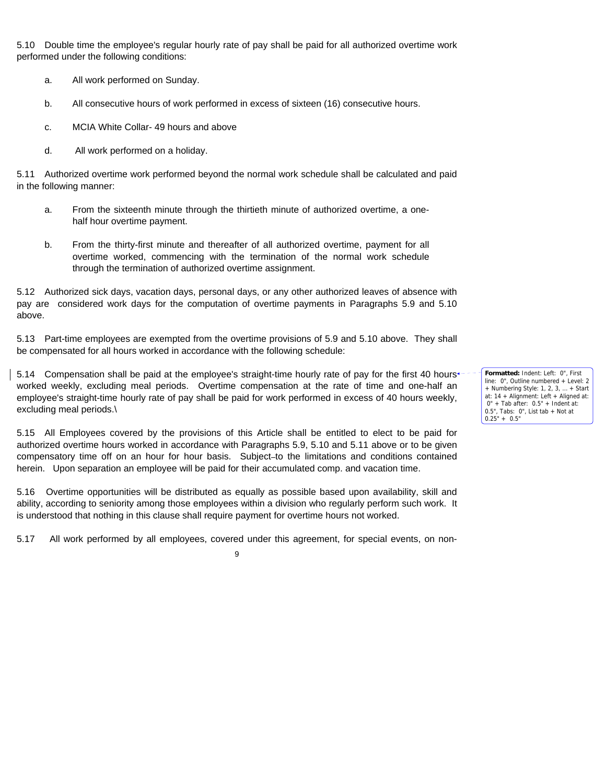5.10 Double time the employee's regular hourly rate of pay shall be paid for all authorized overtime work performed under the following conditions:

- a. All work performed on Sunday.
- b. All consecutive hours of work performed in excess of sixteen (16) consecutive hours.
- c. MCIA White Collar- 49 hours and above
- d. All work performed on a holiday.

5.11 Authorized overtime work performed beyond the normal work schedule shall be calculated and paid in the following manner:

- a. From the sixteenth minute through the thirtieth minute of authorized overtime, a onehalf hour overtime payment.
- b. From the thirty-first minute and thereafter of all authorized overtime, payment for all overtime worked, commencing with the termination of the normal work schedule through the termination of authorized overtime assignment.

5.12 Authorized sick days, vacation days, personal days, or any other authorized leaves of absence with pay are considered work days for the computation of overtime payments in Paragraphs 5.9 and 5.10 above.

5.13 Part-time employees are exempted from the overtime provisions of 5.9 and 5.10 above. They shall be compensated for all hours worked in accordance with the following schedule:

5.14 Compensation shall be paid at the employee's straight-time hourly rate of pay for the first 40 hours $\cdot$ worked weekly, excluding meal periods. Overtime compensation at the rate of time and one-half an employee's straight-time hourly rate of pay shall be paid for work performed in excess of 40 hours weekly, excluding meal periods.\

5.15 All Employees covered by the provisions of this Article shall be entitled to elect to be paid for authorized overtime hours worked in accordance with Paragraphs 5.9, 5.10 and 5.11 above or to be given compensatory time off on an hour for hour basis. Subject to the limitations and conditions contained herein. Upon separation an employee will be paid for their accumulated comp. and vacation time.

5.16 Overtime opportunities will be distributed as equally as possible based upon availability, skill and ability, according to seniority among those employees within a division who regularly perform such work. It is understood that nothing in this clause shall require payment for overtime hours not worked.

5.17 All work performed by all employees, covered under this agreement, for special events, on non-

9

**Formatted:** Indent: Left: 0", First line: 0", Outline numbered + Level: 2 + Numbering Style: 1, 2, 3, … + Start at: 14 + Alignment: Left + Aligned at: 0" + Tab after: 0.5" + Indent at: 0.5", Tabs: 0", List tab + Not at  $0.25" + 0.5"$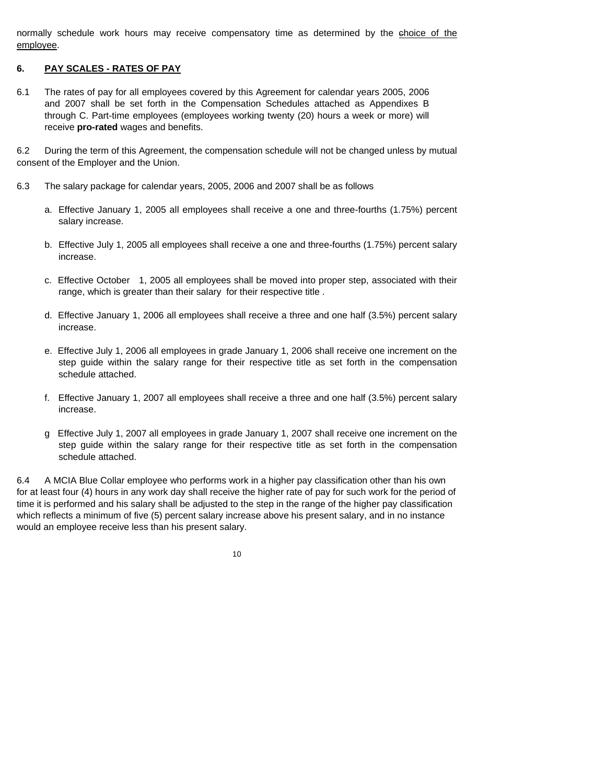normally schedule work hours may receive compensatory time as determined by the ehoice of the employee.

#### **6. PAY SCALES - RATES OF PAY**

6.1 The rates of pay for all employees covered by this Agreement for calendar years 2005, 2006 and 2007 shall be set forth in the Compensation Schedules attached as Appendixes B through C. Part-time employees (employees working twenty (20) hours a week or more) will receive **pro-rated** wages and benefits.

6.2 During the term of this Agreement, the compensation schedule will not be changed unless by mutual consent of the Employer and the Union.

- 6.3 The salary package for calendar years, 2005, 2006 and 2007 shall be as follows
	- a. Effective January 1, 2005 all employees shall receive a one and three-fourths (1.75%) percent salary increase.
	- b. Effective July 1, 2005 all employees shall receive a one and three-fourths (1.75%) percent salary increase.
	- c. Effective October 1, 2005 all employees shall be moved into proper step, associated with their range, which is greater than their salary for their respective title .
	- d. Effective January 1, 2006 all employees shall receive a three and one half (3.5%) percent salary increase.
	- e. Effective July 1, 2006 all employees in grade January 1, 2006 shall receive one increment on the step guide within the salary range for their respective title as set forth in the compensation schedule attached.
	- f. Effective January 1, 2007 all employees shall receive a three and one half (3.5%) percent salary increase.
	- g Effective July 1, 2007 all employees in grade January 1, 2007 shall receive one increment on the step guide within the salary range for their respective title as set forth in the compensation schedule attached.

6.4 A MCIA Blue Collar employee who performs work in a higher pay classification other than his own for at least four (4) hours in any work day shall receive the higher rate of pay for such work for the period of time it is performed and his salary shall be adjusted to the step in the range of the higher pay classification which reflects a minimum of five (5) percent salary increase above his present salary, and in no instance would an employee receive less than his present salary.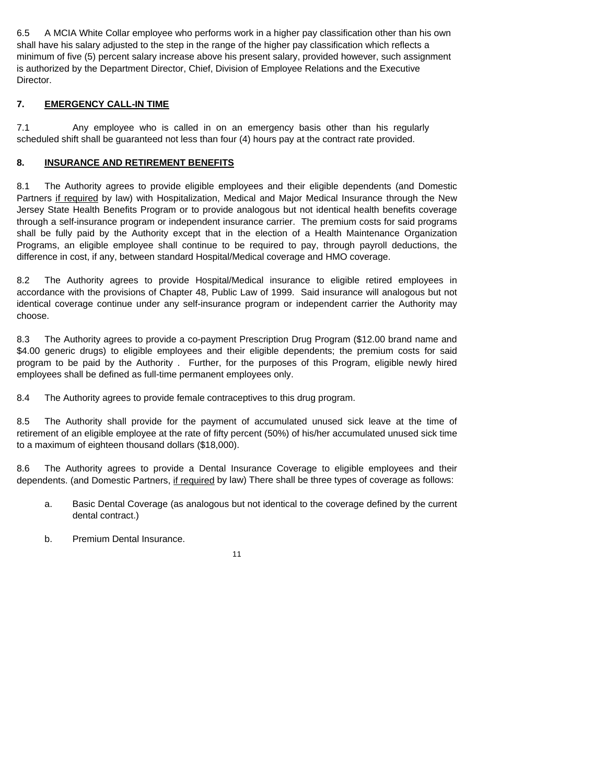6.5 A MCIA White Collar employee who performs work in a higher pay classification other than his own shall have his salary adjusted to the step in the range of the higher pay classification which reflects a minimum of five (5) percent salary increase above his present salary, provided however, such assignment is authorized by the Department Director, Chief, Division of Employee Relations and the Executive Director.

# **7. EMERGENCY CALL-IN TIME**

7.1 Any employee who is called in on an emergency basis other than his regularly scheduled shift shall be guaranteed not less than four (4) hours pay at the contract rate provided.

# **8. INSURANCE AND RETIREMENT BENEFITS**

8.1 The Authority agrees to provide eligible employees and their eligible dependents (and Domestic Partners if required by law) with Hospitalization, Medical and Major Medical Insurance through the New Jersey State Health Benefits Program or to provide analogous but not identical health benefits coverage through a self-insurance program or independent insurance carrier. The premium costs for said programs shall be fully paid by the Authority except that in the election of a Health Maintenance Organization Programs, an eligible employee shall continue to be required to pay, through payroll deductions, the difference in cost, if any, between standard Hospital/Medical coverage and HMO coverage.

8.2 The Authority agrees to provide Hospital/Medical insurance to eligible retired employees in accordance with the provisions of Chapter 48, Public Law of 1999. Said insurance will analogous but not identical coverage continue under any self-insurance program or independent carrier the Authority may choose.

8.3 The Authority agrees to provide a co-payment Prescription Drug Program (\$12.00 brand name and \$4.00 generic drugs) to eligible employees and their eligible dependents; the premium costs for said program to be paid by the Authority . Further, for the purposes of this Program, eligible newly hired employees shall be defined as full-time permanent employees only.

8.4 The Authority agrees to provide female contraceptives to this drug program.

8.5 The Authority shall provide for the payment of accumulated unused sick leave at the time of retirement of an eligible employee at the rate of fifty percent (50%) of his/her accumulated unused sick time to a maximum of eighteen thousand dollars (\$18,000).

8.6 The Authority agrees to provide a Dental Insurance Coverage to eligible employees and their dependents. (and Domestic Partners, if required by law) There shall be three types of coverage as follows:

- a. Basic Dental Coverage (as analogous but not identical to the coverage defined by the current dental contract.)
- b. Premium Dental Insurance.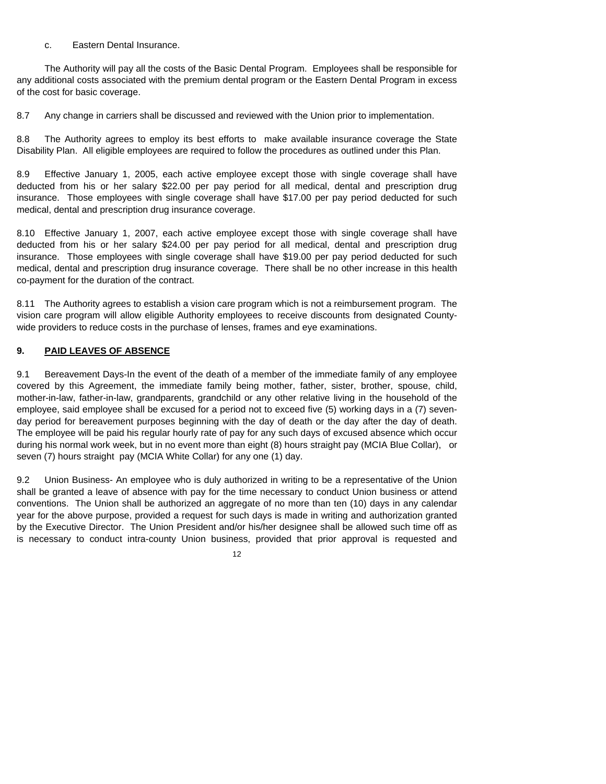#### c. Eastern Dental Insurance.

 The Authority will pay all the costs of the Basic Dental Program. Employees shall be responsible for any additional costs associated with the premium dental program or the Eastern Dental Program in excess of the cost for basic coverage.

8.7 Any change in carriers shall be discussed and reviewed with the Union prior to implementation.

8.8 The Authority agrees to employ its best efforts to make available insurance coverage the State Disability Plan. All eligible employees are required to follow the procedures as outlined under this Plan.

8.9 Effective January 1, 2005, each active employee except those with single coverage shall have deducted from his or her salary \$22.00 per pay period for all medical, dental and prescription drug insurance. Those employees with single coverage shall have \$17.00 per pay period deducted for such medical, dental and prescription drug insurance coverage.

8.10 Effective January 1, 2007, each active employee except those with single coverage shall have deducted from his or her salary \$24.00 per pay period for all medical, dental and prescription drug insurance. Those employees with single coverage shall have \$19.00 per pay period deducted for such medical, dental and prescription drug insurance coverage. There shall be no other increase in this health co-payment for the duration of the contract.

8.11 The Authority agrees to establish a vision care program which is not a reimbursement program. The vision care program will allow eligible Authority employees to receive discounts from designated Countywide providers to reduce costs in the purchase of lenses, frames and eye examinations.

# **9. PAID LEAVES OF ABSENCE**

9.1 Bereavement Days-In the event of the death of a member of the immediate family of any employee covered by this Agreement, the immediate family being mother, father, sister, brother, spouse, child, mother-in-law, father-in-law, grandparents, grandchild or any other relative living in the household of the employee, said employee shall be excused for a period not to exceed five (5) working days in a (7) sevenday period for bereavement purposes beginning with the day of death or the day after the day of death. The employee will be paid his regular hourly rate of pay for any such days of excused absence which occur during his normal work week, but in no event more than eight (8) hours straight pay (MCIA Blue Collar), or seven (7) hours straight pay (MCIA White Collar) for any one (1) day.

9.2 Union Business- An employee who is duly authorized in writing to be a representative of the Union shall be granted a leave of absence with pay for the time necessary to conduct Union business or attend conventions. The Union shall be authorized an aggregate of no more than ten (10) days in any calendar year for the above purpose, provided a request for such days is made in writing and authorization granted by the Executive Director. The Union President and/or his/her designee shall be allowed such time off as is necessary to conduct intra-county Union business, provided that prior approval is requested and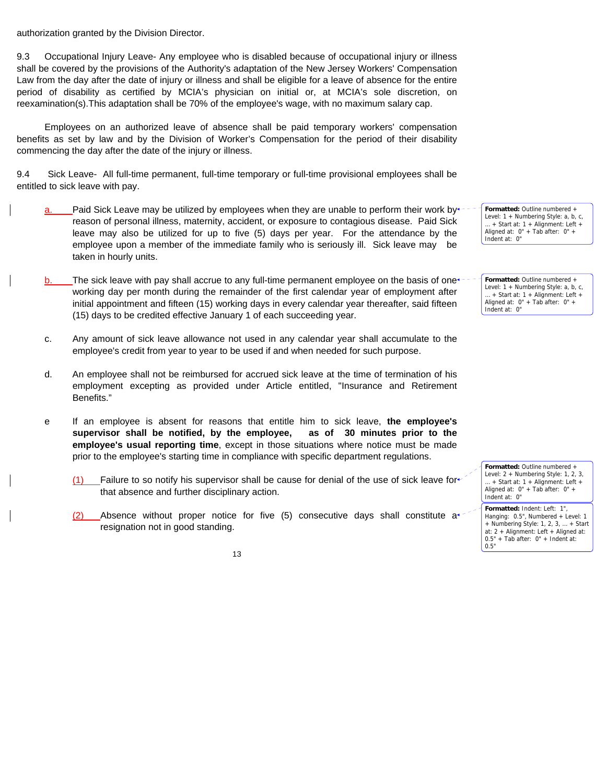authorization granted by the Division Director.

9.3 Occupational Injury Leave- Any employee who is disabled because of occupational injury or illness shall be covered by the provisions of the Authority's adaptation of the New Jersey Workers' Compensation Law from the day after the date of injury or illness and shall be eligible for a leave of absence for the entire period of disability as certified by MCIA's physician on initial or, at MCIA's sole discretion, on reexamination(s).This adaptation shall be 70% of the employee's wage, with no maximum salary cap.

 Employees on an authorized leave of absence shall be paid temporary workers' compensation benefits as set by law and by the Division of Worker's Compensation for the period of their disability commencing the day after the date of the injury or illness.

9.4Sick Leave- All full-time permanent, full-time temporary or full-time provisional employees shall be entitled to sick leave with pay.

- a. Paid Sick Leave may be utilized by employees when they are unable to perform their work by reason of personal illness, maternity, accident, or exposure to contagious disease. Paid Sick leave may also be utilized for up to five (5) days per year. For the attendance by the employee upon a member of the immediate family who is seriously ill. Sick leave may be taken in hourly units.
- $b.$  The sick leave with pay shall accrue to any full-time permanent employee on the basis of one working day per month during the remainder of the first calendar year of employment after initial appointment and fifteen (15) working days in every calendar year thereafter, said fifteen (15) days to be credited effective January 1 of each succeeding year.
- c. Any amount of sick leave allowance not used in any calendar year shall accumulate to the employee's credit from year to year to be used if and when needed for such purpose.
- d. An employee shall not be reimbursed for accrued sick leave at the time of termination of his employment excepting as provided under Article entitled, "Insurance and Retirement Benefits."
- e If an employee is absent for reasons that entitle him to sick leave, **the employee's supervisor shall be notified, by the employee, as of 30 minutes prior to the employee's usual reporting time**, except in those situations where notice must be made prior to the employee's starting time in compliance with specific department regulations.
	- Failure to so notify his supervisor shall be cause for denial of the use of sick leave for that absence and further disciplinary action.
	- $(2)$  Absence without proper notice for five (5) consecutive days shall constitute a<sup>+</sup> resignation not in good standing.

**Formatted:** Outline numbered + Level: 1 + Numbering Style: a, b, c, … + Start at: 1 + Alignment: Left + Aligned at: 0" + Tab after: 0" + Indent at: 0"

**Formatted:** Outline numbered + Level: 1 + Numbering Style: a, b, c, … + Start at: 1 + Alignment: Left + Aligned at: 0" + Tab after: 0" + Indent at: 0"

**Formatted:** Outline numbered + Level: 2 + Numbering Style: 1, 2, 3, … + Start at: 1 + Alignment: Left + Aligned at:  $0" +$  Tab after:  $0" +$ Indent at: 0" **Formatted:** Indent: Left: 1",

Hanging: 0.5", Numbered + Level: 1 + Numbering Style: 1, 2, 3, … + Start at:  $2 +$  Alignment: Left + Aligned at:  $0.5" +$  Tab after:  $0" +$  Indent at:

0.5"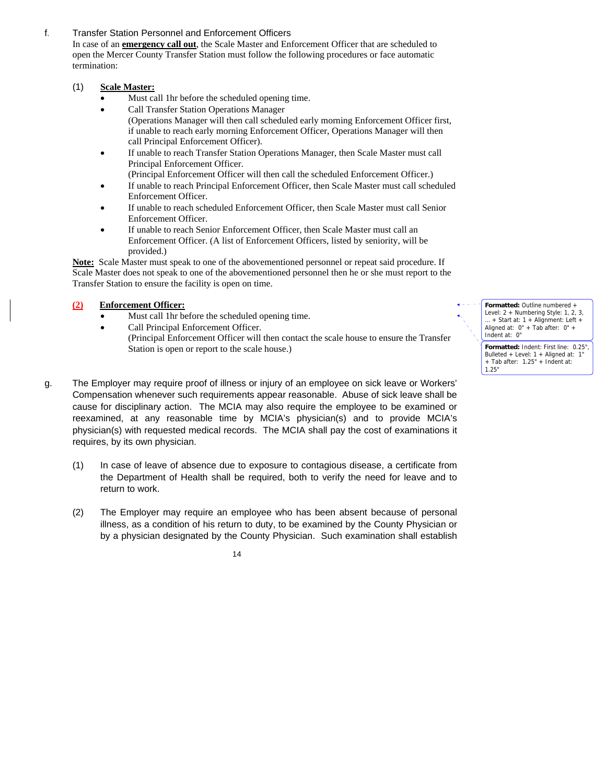# f. Transfer Station Personnel and Enforcement Officers

In case of an **emergency call out**, the Scale Master and Enforcement Officer that are scheduled to open the Mercer County Transfer Station must follow the following procedures or face automatic termination:

# (1) **Scale Master:**

- Must call 1hr before the scheduled opening time.
- Call Transfer Station Operations Manager (Operations Manager will then call scheduled early morning Enforcement Officer first, if unable to reach early morning Enforcement Officer, Operations Manager will then call Principal Enforcement Officer).
- If unable to reach Transfer Station Operations Manager, then Scale Master must call Principal Enforcement Officer.
	- (Principal Enforcement Officer will then call the scheduled Enforcement Officer.)
- If unable to reach Principal Enforcement Officer, then Scale Master must call scheduled Enforcement Officer.
- If unable to reach scheduled Enforcement Officer, then Scale Master must call Senior Enforcement Officer.
- If unable to reach Senior Enforcement Officer, then Scale Master must call an Enforcement Officer. (A list of Enforcement Officers, listed by seniority, will be provided.)

**Note:** Scale Master must speak to one of the abovementioned personnel or repeat said procedure. If Scale Master does not speak to one of the abovementioned personnel then he or she must report to the Transfer Station to ensure the facility is open on time.

# **(2) Enforcement Officer:**

- Must call 1hr before the scheduled opening time.
- Call Principal Enforcement Officer. (Principal Enforcement Officer will then contact the scale house to ensure the Transfer Station is open or report to the scale house.)
- g. The Employer may require proof of illness or injury of an employee on sick leave or Workers' Compensation whenever such requirements appear reasonable. Abuse of sick leave shall be cause for disciplinary action. The MCIA may also require the employee to be examined or reexamined, at any reasonable time by MCIA's physician(s) and to provide MCIA's physician(s) with requested medical records. The MCIA shall pay the cost of examinations it requires, by its own physician.
	- (1) In case of leave of absence due to exposure to contagious disease, a certificate from the Department of Health shall be required, both to verify the need for leave and to return to work.
	- (2) The Employer may require an employee who has been absent because of personal illness, as a condition of his return to duty, to be examined by the County Physician or by a physician designated by the County Physician. Such examination shall establish

14

**Formatted:** Outline numbered + Level: 2 + Numbering Style: 1, 2, 3, … + Start at: 1 + Alignment: Left + Aligned at: 0" + Tab after: 0" + Indent at: 0" **Formatted:** Indent: First line: 0.25",

Bulleted + Level: 1 + Aligned at: 1" + Tab after: 1.25" + Indent at: 1.25"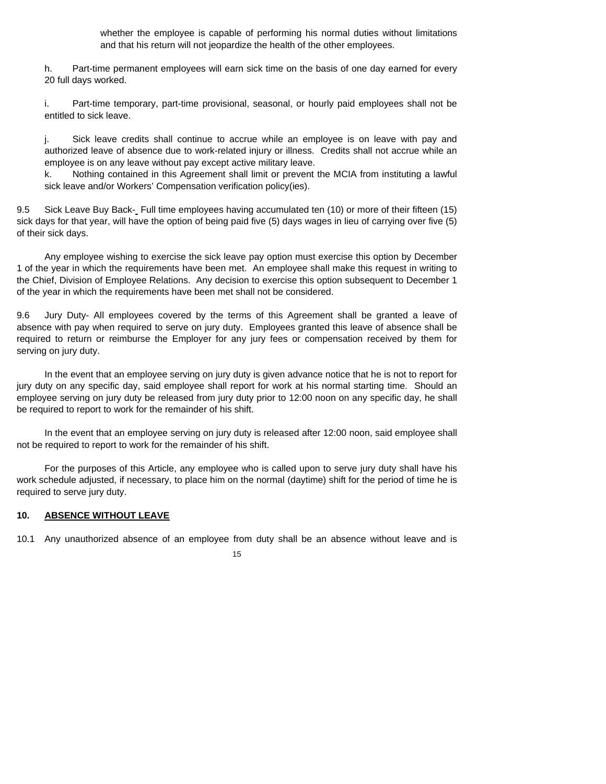whether the employee is capable of performing his normal duties without limitations and that his return will not jeopardize the health of the other employees.

h. Part-time permanent employees will earn sick time on the basis of one day earned for every 20 full days worked.

i. Part-time temporary, part-time provisional, seasonal, or hourly paid employees shall not be entitled to sick leave.

j. Sick leave credits shall continue to accrue while an employee is on leave with pay and authorized leave of absence due to work-related injury or illness. Credits shall not accrue while an employee is on any leave without pay except active military leave.

k. Nothing contained in this Agreement shall limit or prevent the MCIA from instituting a lawful sick leave and/or Workers' Compensation verification policy(ies).

9.5 Sick Leave Buy Back- Full time employees having accumulated ten (10) or more of their fifteen (15) sick days for that year, will have the option of being paid five (5) days wages in lieu of carrying over five (5) of their sick days.

 Any employee wishing to exercise the sick leave pay option must exercise this option by December 1 of the year in which the requirements have been met. An employee shall make this request in writing to the Chief, Division of Employee Relations. Any decision to exercise this option subsequent to December 1 of the year in which the requirements have been met shall not be considered.

9.6 Jury Duty- All employees covered by the terms of this Agreement shall be granted a leave of absence with pay when required to serve on jury duty. Employees granted this leave of absence shall be required to return or reimburse the Employer for any jury fees or compensation received by them for serving on jury duty.

 In the event that an employee serving on jury duty is given advance notice that he is not to report for jury duty on any specific day, said employee shall report for work at his normal starting time. Should an employee serving on jury duty be released from jury duty prior to 12:00 noon on any specific day, he shall be required to report to work for the remainder of his shift.

 In the event that an employee serving on jury duty is released after 12:00 noon, said employee shall not be required to report to work for the remainder of his shift.

 For the purposes of this Article, any employee who is called upon to serve jury duty shall have his work schedule adjusted, if necessary, to place him on the normal (daytime) shift for the period of time he is required to serve jury duty.

#### **10. ABSENCE WITHOUT LEAVE**

10.1 Any unauthorized absence of an employee from duty shall be an absence without leave and is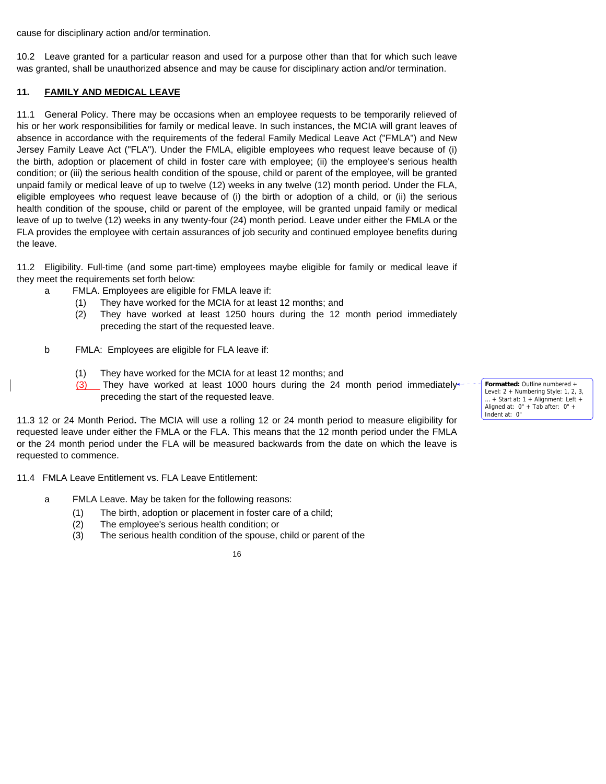cause for disciplinary action and/or termination.

10.2 Leave granted for a particular reason and used for a purpose other than that for which such leave was granted, shall be unauthorized absence and may be cause for disciplinary action and/or termination.

# **11. FAMILY AND MEDICAL LEAVE**

11.1 General Policy. There may be occasions when an employee requests to be temporarily relieved of his or her work responsibilities for family or medical leave. In such instances, the MCIA will grant leaves of absence in accordance with the requirements of the federal Family Medical Leave Act ("FMLA") and New Jersey Family Leave Act ("FLA"). Under the FMLA, eligible employees who request leave because of (i) the birth, adoption or placement of child in foster care with employee; (ii) the employee's serious health condition; or (iii) the serious health condition of the spouse, child or parent of the employee, will be granted unpaid family or medical leave of up to twelve (12) weeks in any twelve (12) month period. Under the FLA, eligible employees who request leave because of (i) the birth or adoption of a child, or (ii) the serious health condition of the spouse, child or parent of the employee, will be granted unpaid family or medical leave of up to twelve (12) weeks in any twenty-four (24) month period. Leave under either the FMLA or the FLA provides the employee with certain assurances of job security and continued employee benefits during the leave.

11.2 Eligibility. Full-time (and some part-time) employees maybe eligible for family or medical leave if they meet the requirements set forth below:

- a FMLA. Employees are eligible for FMLA leave if:
	- (1) They have worked for the MCIA for at least 12 months; and
	- (2) They have worked at least 1250 hours during the 12 month period immediately preceding the start of the requested leave.
- b FMLA: Employees are eligible for FLA leave if:
	- (1) They have worked for the MCIA for at least 12 months; and
	- $(3)$  They have worked at least 1000 hours during the 24 month period immediately\* preceding the start of the requested leave.

11.3 12 or 24 Month Period**.** The MCIA will use a rolling 12 or 24 month period to measure eligibility for requested leave under either the FMLA or the FLA. This means that the 12 month period under the FMLA or the 24 month period under the FLA will be measured backwards from the date on which the leave is requested to commence.

11.4FMLA Leave Entitlement vs. FLA Leave Entitlement:

- a FMLA Leave. May be taken for the following reasons:
	- (1) The birth, adoption or placement in foster care of a child;
	- (2) The employee's serious health condition; or
	- (3) The serious health condition of the spouse, child or parent of the

16

**Formatted:** Outline numbered + Level: 2 + Numbering Style: 1, 2, 3, … + Start at: 1 + Alignment: Left + Aligned at: 0" + Tab after: 0" + Indent at: 0"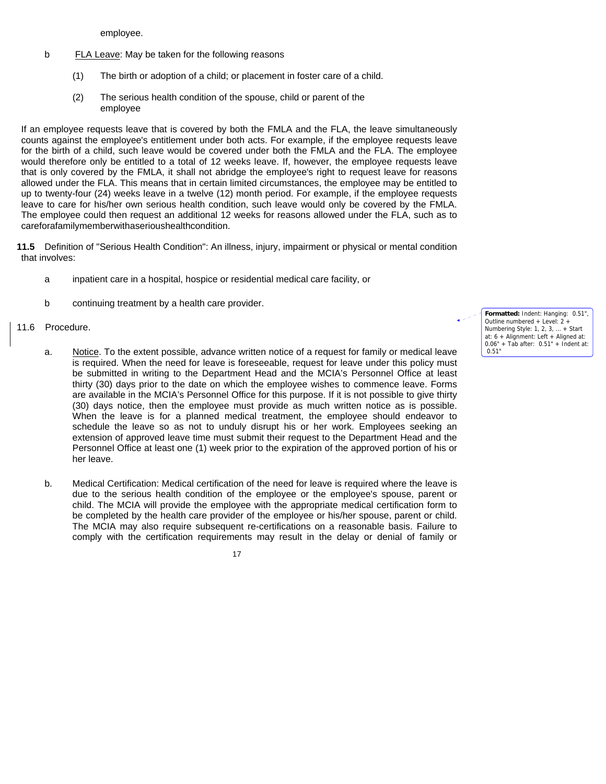employee.

- b FLA Leave: May be taken for the following reasons
	- (1) The birth or adoption of a child; or placement in foster care of a child.
	- (2) The serious health condition of the spouse, child or parent of the employee

If an employee requests leave that is covered by both the FMLA and the FLA, the leave simultaneously counts against the employee's entitlement under both acts. For example, if the employee requests leave for the birth of a child, such leave would be covered under both the FMLA and the FLA. The employee would therefore only be entitled to a total of 12 weeks leave. If, however, the employee requests leave that is only covered by the FMLA, it shall not abridge the employee's right to request leave for reasons allowed under the FLA. This means that in certain limited circumstances, the employee may be entitled to up to twenty-four (24) weeks leave in a twelve (12) month period. For example, if the employee requests leave to care for his/her own serious health condition, such leave would only be covered by the FMLA. The employee could then request an additional 12 weeks for reasons allowed under the FLA, such as to careforafamilymemberwithaserioushealthcondition.

**11.5** Definition of "Serious Health Condition": An illness, injury, impairment or physical or mental condition that involves:

- a inpatient care in a hospital, hospice or residential medical care facility, or
- b continuing treatment by a health care provider.

#### 11.6 Procedure.

- a. Notice. To the extent possible, advance written notice of a request for family or medical leave is required. When the need for leave is foreseeable, request for leave under this policy must be submitted in writing to the Department Head and the MCIA's Personnel Office at least thirty (30) days prior to the date on which the employee wishes to commence leave. Forms are available in the MCIA's Personnel Office for this purpose. If it is not possible to give thirty (30) days notice, then the employee must provide as much written notice as is possible. When the leave is for a planned medical treatment, the employee should endeavor to schedule the leave so as not to unduly disrupt his or her work. Employees seeking an extension of approved leave time must submit their request to the Department Head and the Personnel Office at least one (1) week prior to the expiration of the approved portion of his or her leave.
- b. Medical Certification: Medical certification of the need for leave is required where the leave is due to the serious health condition of the employee or the employee's spouse, parent or child. The MCIA will provide the employee with the appropriate medical certification form to be completed by the health care provider of the employee or his/her spouse, parent or child. The MCIA may also require subsequent re-certifications on a reasonable basis. Failure to comply with the certification requirements may result in the delay or denial of family or

17

**Formatted:** Indent: Hanging: 0.51", Outline numbered + Level: 2 + Numbering Style: 1, 2, 3, … + Start at: 6 + Alignment: Left + Aligned at: 0.06" + Tab after: 0.51" + Indent at: 0.51"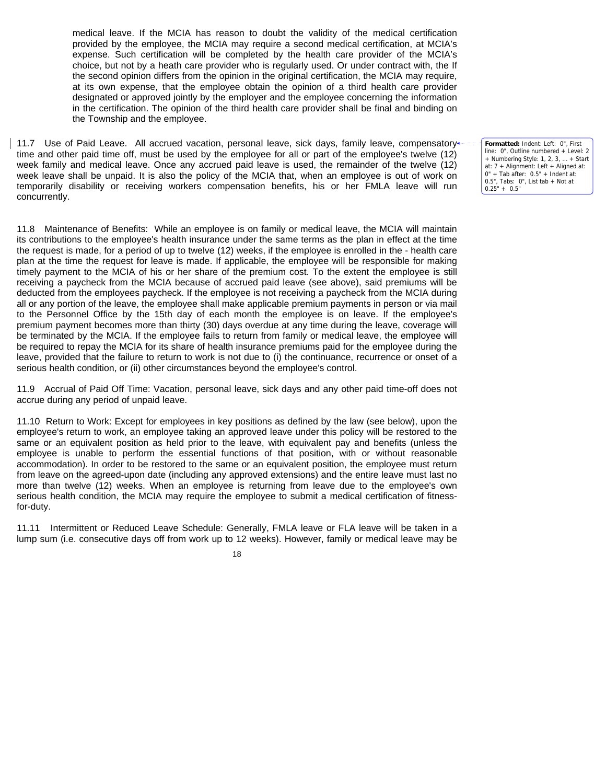medical leave. If the MCIA has reason to doubt the validity of the medical certification provided by the employee, the MCIA may require a second medical certification, at MCIA's expense. Such certification will be completed by the health care provider of the MCIA's choice, but not by a heath care provider who is regularly used. Or under contract with, the If the second opinion differs from the opinion in the original certification, the MCIA may require, at its own expense, that the employee obtain the opinion of a third health care provider designated or approved jointly by the employer and the employee concerning the information in the certification. The opinion of the third health care provider shall be final and binding on the Township and the employee.

11.7 Use of Paid Leave. All accrued vacation, personal leave, sick days, family leave, compensatory time and other paid time off, must be used by the employee for all or part of the employee's twelve (12) week family and medical leave. Once any accrued paid leave is used, the remainder of the twelve (12) week leave shall be unpaid. It is also the policy of the MCIA that, when an employee is out of work on temporarily disability or receiving workers compensation benefits, his or her FMLA leave will run concurrently.

11.8 Maintenance of Benefits: While an employee is on family or medical leave, the MCIA will maintain its contributions to the employee's health insurance under the same terms as the plan in effect at the time the request is made, for a period of up to twelve (12) weeks, if the employee is enrolled in the - health care plan at the time the request for leave is made. If applicable, the employee will be responsible for making timely payment to the MCIA of his or her share of the premium cost. To the extent the employee is still receiving a paycheck from the MCIA because of accrued paid leave (see above), said premiums will be deducted from the employees paycheck. If the employee is not receiving a paycheck from the MCIA during all or any portion of the leave, the employee shall make applicable premium payments in person or via mail to the Personnel Office by the 15th day of each month the employee is on leave. If the employee's premium payment becomes more than thirty (30) days overdue at any time during the leave, coverage will be terminated by the MCIA. If the employee fails to return from family or medical leave, the employee will be required to repay the MCIA for its share of health insurance premiums paid for the employee during the leave, provided that the failure to return to work is not due to (i) the continuance, recurrence or onset of a serious health condition, or (ii) other circumstances beyond the employee's control.

11.9 Accrual of Paid Off Time: Vacation, personal leave, sick days and any other paid time-off does not accrue during any period of unpaid leave.

11.10 Return to Work: Except for employees in key positions as defined by the law (see below), upon the employee's return to work, an employee taking an approved leave under this policy will be restored to the same or an equivalent position as held prior to the leave, with equivalent pay and benefits (unless the employee is unable to perform the essential functions of that position, with or without reasonable accommodation). In order to be restored to the same or an equivalent position, the employee must return from leave on the agreed-upon date (including any approved extensions) and the entire leave must last no more than twelve (12) weeks. When an employee is returning from leave due to the employee's own serious health condition, the MCIA may require the employee to submit a medical certification of fitnessfor-duty.

11.11 Intermittent or Reduced Leave Schedule: Generally, FMLA leave or FLA leave will be taken in a lump sum (i.e. consecutive days off from work up to 12 weeks). However, family or medical leave may be

18

**Formatted:** Indent: Left: 0", First line: 0", Outline numbered + Level: 2 + Numbering Style: 1, 2, 3, … + Start at: 7 + Alignment: Left + Aligned at: 0" + Tab after: 0.5" + Indent at: 0.5", Tabs: 0", List tab + Not at  $0.25" + 0.5"$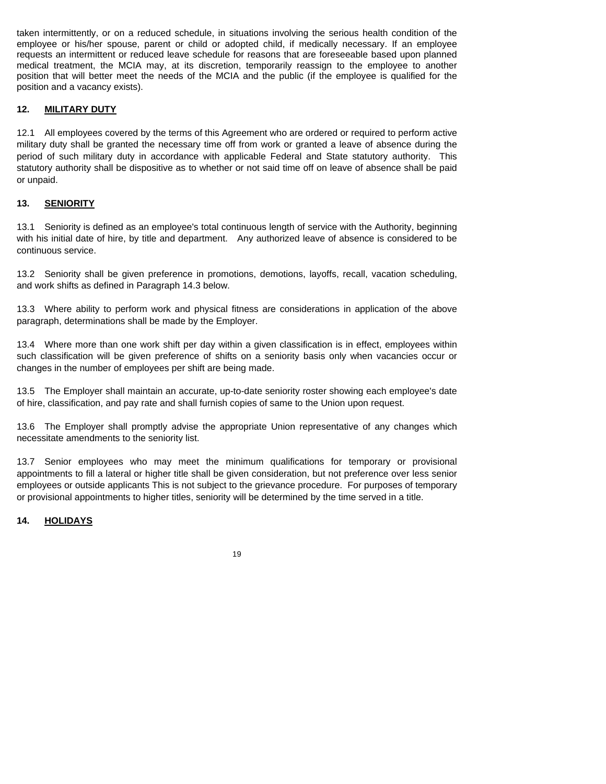taken intermittently, or on a reduced schedule, in situations involving the serious health condition of the employee or his/her spouse, parent or child or adopted child, if medically necessary. If an employee requests an intermittent or reduced leave schedule for reasons that are foreseeable based upon planned medical treatment, the MCIA may, at its discretion, temporarily reassign to the employee to another position that will better meet the needs of the MCIA and the public (if the employee is qualified for the position and a vacancy exists).

#### **12. MILITARY DUTY**

12.1 All employees covered by the terms of this Agreement who are ordered or required to perform active military duty shall be granted the necessary time off from work or granted a leave of absence during the period of such military duty in accordance with applicable Federal and State statutory authority. This statutory authority shall be dispositive as to whether or not said time off on leave of absence shall be paid or unpaid.

# **13. SENIORITY**

13.1 Seniority is defined as an employee's total continuous length of service with the Authority, beginning with his initial date of hire, by title and department. Any authorized leave of absence is considered to be continuous service.

13.2 Seniority shall be given preference in promotions, demotions, layoffs, recall, vacation scheduling, and work shifts as defined in Paragraph 14.3 below.

13.3 Where ability to perform work and physical fitness are considerations in application of the above paragraph, determinations shall be made by the Employer.

13.4 Where more than one work shift per day within a given classification is in effect, employees within such classification will be given preference of shifts on a seniority basis only when vacancies occur or changes in the number of employees per shift are being made.

13.5 The Employer shall maintain an accurate, up-to-date seniority roster showing each employee's date of hire, classification, and pay rate and shall furnish copies of same to the Union upon request.

13.6 The Employer shall promptly advise the appropriate Union representative of any changes which necessitate amendments to the seniority list.

13.7 Senior employees who may meet the minimum qualifications for temporary or provisional appointments to fill a lateral or higher title shall be given consideration, but not preference over less senior employees or outside applicants This is not subject to the grievance procedure. For purposes of temporary or provisional appointments to higher titles, seniority will be determined by the time served in a title.

# **14. HOLIDAYS**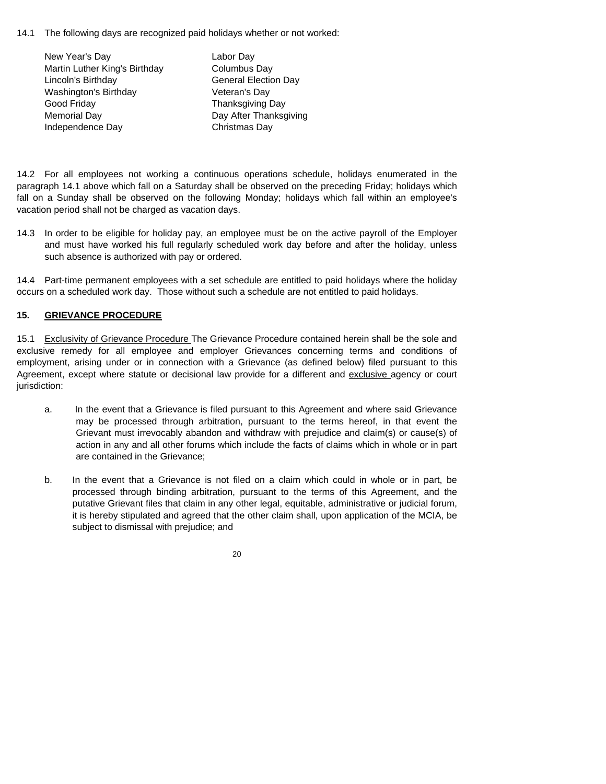14.1 The following days are recognized paid holidays whether or not worked:

| New Year's Day                | Labor Day                   |
|-------------------------------|-----------------------------|
| Martin Luther King's Birthday | Columbus Day                |
| Lincoln's Birthday            | <b>General Election Day</b> |
| Washington's Birthday         | Veteran's Day               |
| Good Friday                   | <b>Thanksgiving Day</b>     |
| <b>Memorial Day</b>           | Day After Thanksgiving      |
| Independence Day              | Christmas Day               |

14.2 For all employees not working a continuous operations schedule, holidays enumerated in the paragraph 14.1 above which fall on a Saturday shall be observed on the preceding Friday; holidays which fall on a Sunday shall be observed on the following Monday; holidays which fall within an employee's vacation period shall not be charged as vacation days.

14.3 In order to be eligible for holiday pay, an employee must be on the active payroll of the Employer and must have worked his full regularly scheduled work day before and after the holiday, unless such absence is authorized with pay or ordered.

14.4 Part-time permanent employees with a set schedule are entitled to paid holidays where the holiday occurs on a scheduled work day. Those without such a schedule are not entitled to paid holidays.

# **15. GRIEVANCE PROCEDURE**

15.1 Exclusivity of Grievance Procedure The Grievance Procedure contained herein shall be the sole and exclusive remedy for all employee and employer Grievances concerning terms and conditions of employment, arising under or in connection with a Grievance (as defined below) filed pursuant to this Agreement, except where statute or decisional law provide for a different and exclusive agency or court jurisdiction:

- a. In the event that a Grievance is filed pursuant to this Agreement and where said Grievance may be processed through arbitration, pursuant to the terms hereof, in that event the Grievant must irrevocably abandon and withdraw with prejudice and claim(s) or cause(s) of action in any and all other forums which include the facts of claims which in whole or in part are contained in the Grievance;
- b. In the event that a Grievance is not filed on a claim which could in whole or in part, be processed through binding arbitration, pursuant to the terms of this Agreement, and the putative Grievant files that claim in any other legal, equitable, administrative or judicial forum, it is hereby stipulated and agreed that the other claim shall, upon application of the MCIA, be subject to dismissal with prejudice; and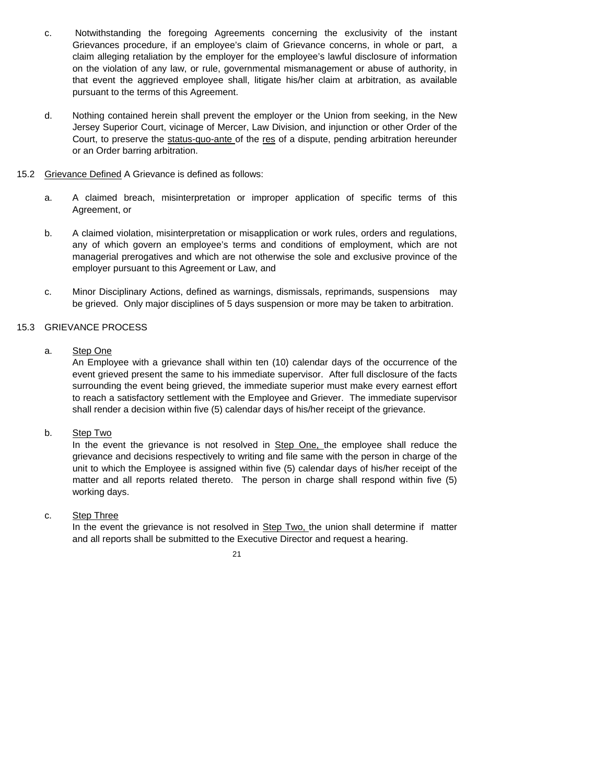- c. Notwithstanding the foregoing Agreements concerning the exclusivity of the instant Grievances procedure, if an employee's claim of Grievance concerns, in whole or part, a claim alleging retaliation by the employer for the employee's lawful disclosure of information on the violation of any law, or rule, governmental mismanagement or abuse of authority, in that event the aggrieved employee shall, litigate his/her claim at arbitration, as available pursuant to the terms of this Agreement.
- d. Nothing contained herein shall prevent the employer or the Union from seeking, in the New Jersey Superior Court, vicinage of Mercer, Law Division, and injunction or other Order of the Court, to preserve the status-quo-ante of the res of a dispute, pending arbitration hereunder or an Order barring arbitration.
- 15.2 Grievance Defined A Grievance is defined as follows:
	- a. A claimed breach, misinterpretation or improper application of specific terms of this Agreement, or
	- b. A claimed violation, misinterpretation or misapplication or work rules, orders and regulations, any of which govern an employee's terms and conditions of employment, which are not managerial prerogatives and which are not otherwise the sole and exclusive province of the employer pursuant to this Agreement or Law, and
	- c. Minor Disciplinary Actions, defined as warnings, dismissals, reprimands, suspensions may be grieved. Only major disciplines of 5 days suspension or more may be taken to arbitration.

#### 15.3 GRIEVANCE PROCESS

a. Step One

An Employee with a grievance shall within ten (10) calendar days of the occurrence of the event grieved present the same to his immediate supervisor. After full disclosure of the facts surrounding the event being grieved, the immediate superior must make every earnest effort to reach a satisfactory settlement with the Employee and Griever. The immediate supervisor shall render a decision within five (5) calendar days of his/her receipt of the grievance.

b. Step Two

In the event the grievance is not resolved in Step One, the employee shall reduce the grievance and decisions respectively to writing and file same with the person in charge of the unit to which the Employee is assigned within five (5) calendar days of his/her receipt of the matter and all reports related thereto. The person in charge shall respond within five (5) working days.

c. Step Three

In the event the grievance is not resolved in Step Two, the union shall determine if matter and all reports shall be submitted to the Executive Director and request a hearing.

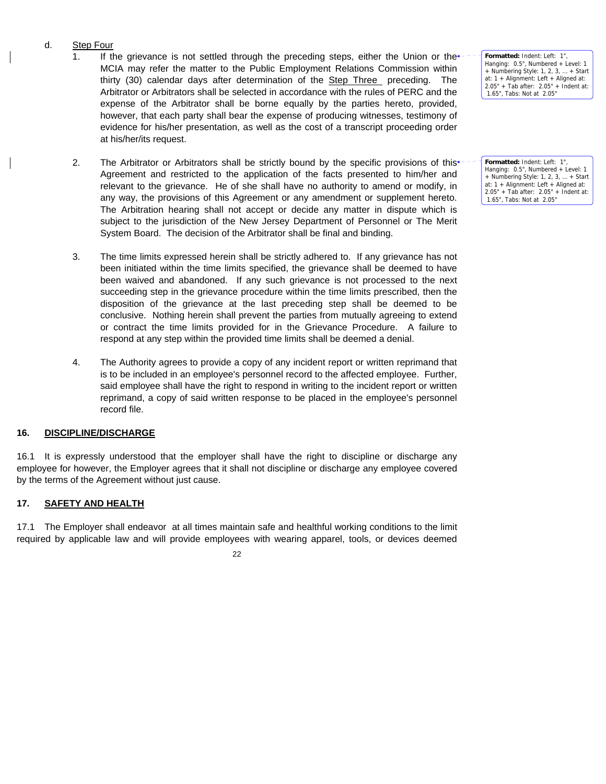# d. Step Four

- 1. If the grievance is not settled through the preceding steps, either the Union or the  $\pm$ MCIA may refer the matter to the Public Employment Relations Commission within thirty (30) calendar days after determination of the Step Three preceding. The Arbitrator or Arbitrators shall be selected in accordance with the rules of PERC and the expense of the Arbitrator shall be borne equally by the parties hereto, provided, however, that each party shall bear the expense of producing witnesses, testimony of evidence for his/her presentation, as well as the cost of a transcript proceeding order at his/her/its request.
- 2. The Arbitrator or Arbitrators shall be strictly bound by the specific provisions of this $\pm$ Agreement and restricted to the application of the facts presented to him/her and relevant to the grievance. He of she shall have no authority to amend or modify, in any way, the provisions of this Agreement or any amendment or supplement hereto. The Arbitration hearing shall not accept or decide any matter in dispute which is subject to the jurisdiction of the New Jersey Department of Personnel or The Merit System Board. The decision of the Arbitrator shall be final and binding.
- 3. The time limits expressed herein shall be strictly adhered to. If any grievance has not been initiated within the time limits specified, the grievance shall be deemed to have been waived and abandoned. If any such grievance is not processed to the next succeeding step in the grievance procedure within the time limits prescribed, then the disposition of the grievance at the last preceding step shall be deemed to be conclusive. Nothing herein shall prevent the parties from mutually agreeing to extend or contract the time limits provided for in the Grievance Procedure. A failure to respond at any step within the provided time limits shall be deemed a denial.
- 4. The Authority agrees to provide a copy of any incident report or written reprimand that is to be included in an employee's personnel record to the affected employee. Further, said employee shall have the right to respond in writing to the incident report or written reprimand, a copy of said written response to be placed in the employee's personnel record file.

# **16. DISCIPLINE/DISCHARGE**

16.1 It is expressly understood that the employer shall have the right to discipline or discharge any employee for however, the Employer agrees that it shall not discipline or discharge any employee covered by the terms of the Agreement without just cause.

# **17. SAFETY AND HEALTH**

17.1 The Employer shall endeavor at all times maintain safe and healthful working conditions to the limit required by applicable law and will provide employees with wearing apparel, tools, or devices deemed

22

Formatted: Indent: Left: 1' Hanging: 0.5", Numbered + Level: 1 + Numbering Style: 1, 2, 3, … + Start at: 1 + Alignment: Left + Aligned at: 2.05" + Tab after: 2.05" + Indent at: 1.65", Tabs: Not at 2.05"

**Formatted:** Indent: Left: 1", Hanging: 0.5", Numbered + Level: 1 + Numbering Style: 1, 2, 3, … + Start at: 1 + Alignment: Left + Aligned at: 2.05" + Tab after: 2.05" + Indent at: 1.65", Tabs: Not at 2.05"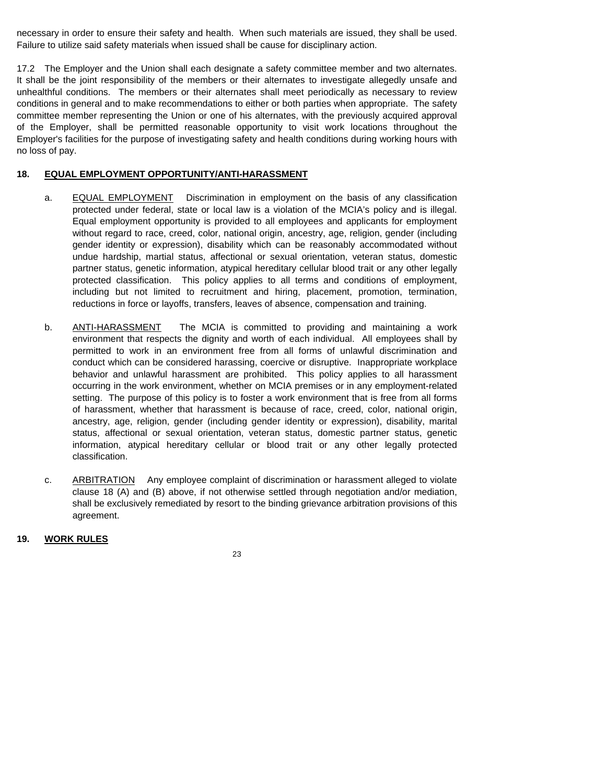necessary in order to ensure their safety and health. When such materials are issued, they shall be used. Failure to utilize said safety materials when issued shall be cause for disciplinary action.

17.2 The Employer and the Union shall each designate a safety committee member and two alternates. It shall be the joint responsibility of the members or their alternates to investigate allegedly unsafe and unhealthful conditions. The members or their alternates shall meet periodically as necessary to review conditions in general and to make recommendations to either or both parties when appropriate. The safety committee member representing the Union or one of his alternates, with the previously acquired approval of the Employer, shall be permitted reasonable opportunity to visit work locations throughout the Employer's facilities for the purpose of investigating safety and health conditions during working hours with no loss of pay.

#### **18. EQUAL EMPLOYMENT OPPORTUNITY/ANTI-HARASSMENT**

- a. EQUAL EMPLOYMENT Discrimination in employment on the basis of any classification protected under federal, state or local law is a violation of the MCIA's policy and is illegal. Equal employment opportunity is provided to all employees and applicants for employment without regard to race, creed, color, national origin, ancestry, age, religion, gender (including gender identity or expression), disability which can be reasonably accommodated without undue hardship, martial status, affectional or sexual orientation, veteran status, domestic partner status, genetic information, atypical hereditary cellular blood trait or any other legally protected classification. This policy applies to all terms and conditions of employment, including but not limited to recruitment and hiring, placement, promotion, termination, reductions in force or layoffs, transfers, leaves of absence, compensation and training.
- b. **ANTI-HARASSMENT** The MCIA is committed to providing and maintaining a work environment that respects the dignity and worth of each individual. All employees shall by permitted to work in an environment free from all forms of unlawful discrimination and conduct which can be considered harassing, coercive or disruptive. Inappropriate workplace behavior and unlawful harassment are prohibited. This policy applies to all harassment occurring in the work environment, whether on MCIA premises or in any employment-related setting. The purpose of this policy is to foster a work environment that is free from all forms of harassment, whether that harassment is because of race, creed, color, national origin, ancestry, age, religion, gender (including gender identity or expression), disability, marital status, affectional or sexual orientation, veteran status, domestic partner status, genetic information, atypical hereditary cellular or blood trait or any other legally protected classification.
- c. ARBITRATION Any employee complaint of discrimination or harassment alleged to violate clause 18 (A) and (B) above, if not otherwise settled through negotiation and/or mediation, shall be exclusively remediated by resort to the binding grievance arbitration provisions of this agreement.

#### **19. WORK RULES**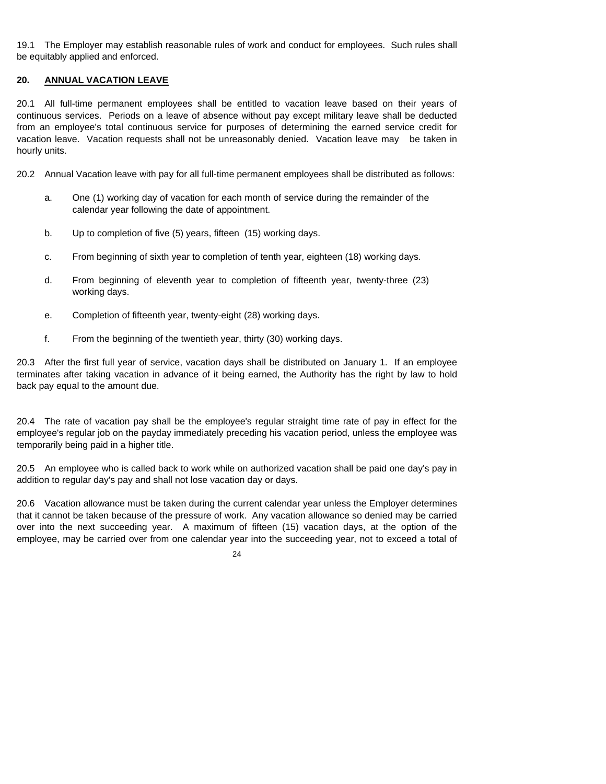19.1 The Employer may establish reasonable rules of work and conduct for employees. Such rules shall be equitably applied and enforced.

#### **20. ANNUAL VACATION LEAVE**

20.1 All full-time permanent employees shall be entitled to vacation leave based on their years of continuous services. Periods on a leave of absence without pay except military leave shall be deducted from an employee's total continuous service for purposes of determining the earned service credit for vacation leave. Vacation requests shall not be unreasonably denied. Vacation leave may be taken in hourly units.

20.2 Annual Vacation leave with pay for all full-time permanent employees shall be distributed as follows:

- a. One (1) working day of vacation for each month of service during the remainder of the calendar year following the date of appointment.
- b. Up to completion of five (5) years, fifteen (15) working days.
- c. From beginning of sixth year to completion of tenth year, eighteen (18) working days.
- d. From beginning of eleventh year to completion of fifteenth year, twenty-three (23) working days.
- e. Completion of fifteenth year, twenty-eight (28) working days.
- f. From the beginning of the twentieth year, thirty (30) working days.

20.3 After the first full year of service, vacation days shall be distributed on January 1. If an employee terminates after taking vacation in advance of it being earned, the Authority has the right by law to hold back pay equal to the amount due.

20.4 The rate of vacation pay shall be the employee's regular straight time rate of pay in effect for the employee's regular job on the payday immediately preceding his vacation period, unless the employee was temporarily being paid in a higher title.

20.5 An employee who is called back to work while on authorized vacation shall be paid one day's pay in addition to regular day's pay and shall not lose vacation day or days.

20.6 Vacation allowance must be taken during the current calendar year unless the Employer determines that it cannot be taken because of the pressure of work. Any vacation allowance so denied may be carried over into the next succeeding year. A maximum of fifteen (15) vacation days, at the option of the employee, may be carried over from one calendar year into the succeeding year, not to exceed a total of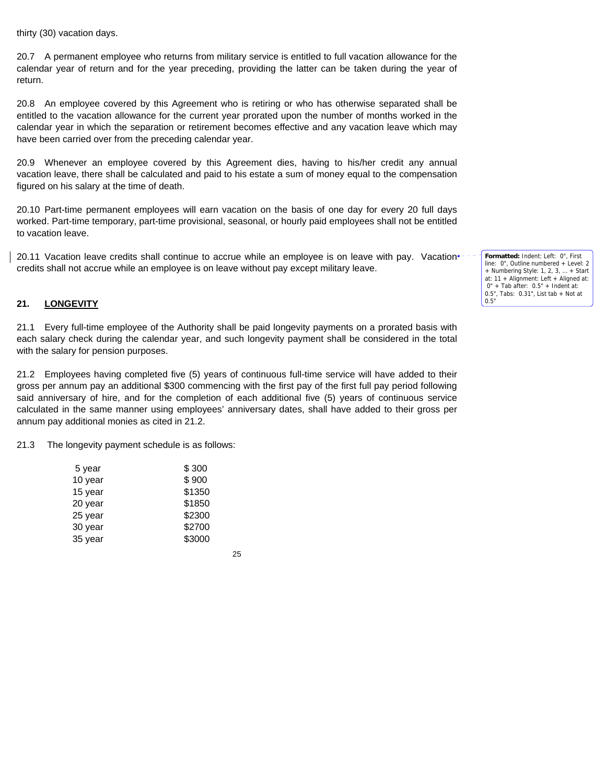thirty (30) vacation days.

20.7 A permanent employee who returns from military service is entitled to full vacation allowance for the calendar year of return and for the year preceding, providing the latter can be taken during the year of return.

20.8 An employee covered by this Agreement who is retiring or who has otherwise separated shall be entitled to the vacation allowance for the current year prorated upon the number of months worked in the calendar year in which the separation or retirement becomes effective and any vacation leave which may have been carried over from the preceding calendar year.

20.9 Whenever an employee covered by this Agreement dies, having to his/her credit any annual vacation leave, there shall be calculated and paid to his estate a sum of money equal to the compensation figured on his salary at the time of death.

20.10 Part-time permanent employees will earn vacation on the basis of one day for every 20 full days worked. Part-time temporary, part-time provisional, seasonal, or hourly paid employees shall not be entitled to vacation leave.

20.11 Vacation leave credits shall continue to accrue while an employee is on leave with pay. Vacation\* credits shall not accrue while an employee is on leave without pay except military leave.

#### **21. LONGEVITY**

21.1 Every full-time employee of the Authority shall be paid longevity payments on a prorated basis with each salary check during the calendar year, and such longevity payment shall be considered in the total with the salary for pension purposes.

21.2 Employees having completed five (5) years of continuous full-time service will have added to their gross per annum pay an additional \$300 commencing with the first pay of the first full pay period following said anniversary of hire, and for the completion of each additional five (5) years of continuous service calculated in the same manner using employees' anniversary dates, shall have added to their gross per annum pay additional monies as cited in 21.2.

21.3 The longevity payment schedule is as follows:

| \$300  |
|--------|
| \$900  |
| \$1350 |
| \$1850 |
| \$2300 |
| \$2700 |
| \$3000 |
|        |

25

**Formatted:** Indent: Left: 0", First line: 0", Outline numbered + Level: 2 + Numbering Style: 1, 2, 3, … + Start at: 11 + Alignment: Left + Aligned at: 0" + Tab after: 0.5" + Indent at: 0.5", Tabs: 0.31", List tab + Not at 0.5"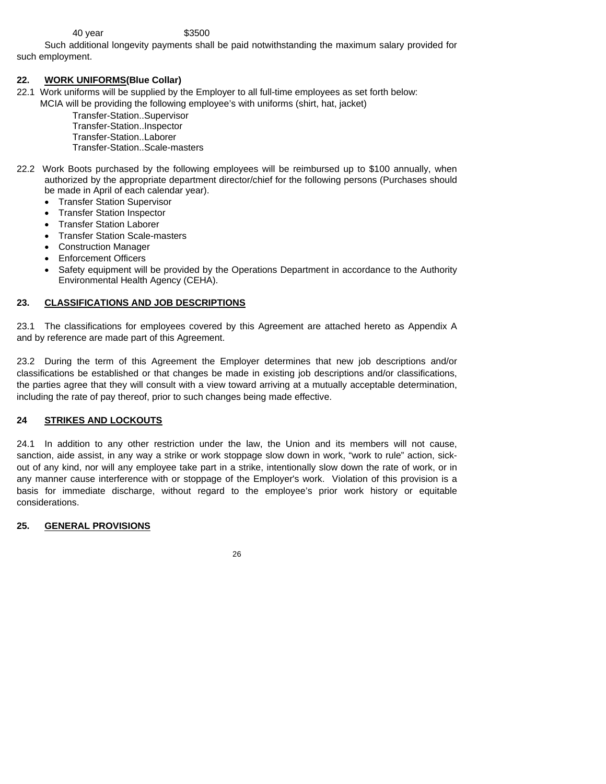#### 40 year \$3500

 Such additional longevity payments shall be paid notwithstanding the maximum salary provided for such employment.

#### **22. WORK UNIFORMS(Blue Collar)**

- 22.1 Work uniforms will be supplied by the Employer to all full-time employees as set forth below:
	- MCIA will be providing the following employee's with uniforms (shirt, hat, jacket)

Transfer-Station..Supervisor Transfer-Station..Inspector Transfer-Station..Laborer Transfer-Station..Scale-masters

- 22.2 Work Boots purchased by the following employees will be reimbursed up to \$100 annually, when authorized by the appropriate department director/chief for the following persons (Purchases should be made in April of each calendar year).
	- Transfer Station Supervisor
	- Transfer Station Inspector
	- Transfer Station Laborer
	- Transfer Station Scale-masters
	- Construction Manager
	- Enforcement Officers
	- Safety equipment will be provided by the Operations Department in accordance to the Authority Environmental Health Agency (CEHA).

#### **23. CLASSIFICATIONS AND JOB DESCRIPTIONS**

23.1 The classifications for employees covered by this Agreement are attached hereto as Appendix A and by reference are made part of this Agreement.

23.2 During the term of this Agreement the Employer determines that new job descriptions and/or classifications be established or that changes be made in existing job descriptions and/or classifications, the parties agree that they will consult with a view toward arriving at a mutually acceptable determination, including the rate of pay thereof, prior to such changes being made effective.

#### **24 STRIKES AND LOCKOUTS**

24.1 In addition to any other restriction under the law, the Union and its members will not cause, sanction, aide assist, in any way a strike or work stoppage slow down in work, "work to rule" action, sickout of any kind, nor will any employee take part in a strike, intentionally slow down the rate of work, or in any manner cause interference with or stoppage of the Employer's work. Violation of this provision is a basis for immediate discharge, without regard to the employee's prior work history or equitable considerations.

#### **25. GENERAL PROVISIONS**

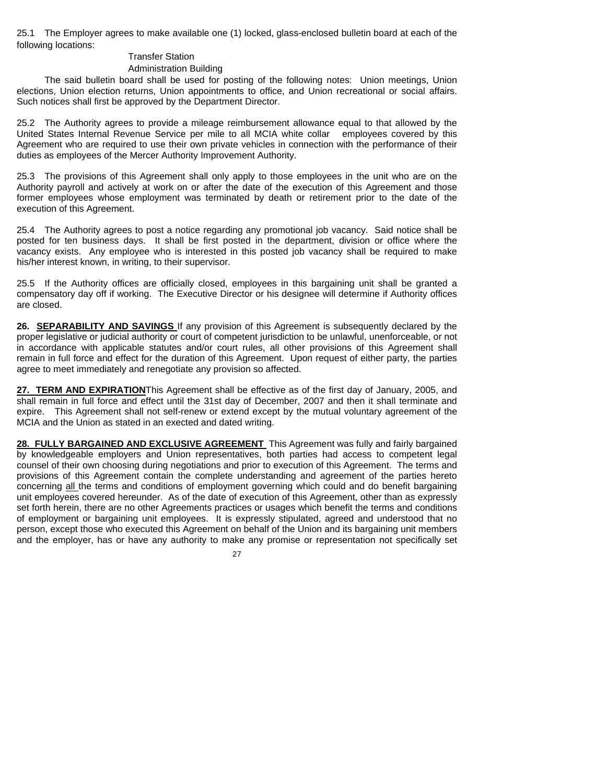25.1 The Employer agrees to make available one (1) locked, glass-enclosed bulletin board at each of the following locations:

#### Transfer Station

#### Administration Building

 The said bulletin board shall be used for posting of the following notes: Union meetings, Union elections, Union election returns, Union appointments to office, and Union recreational or social affairs. Such notices shall first be approved by the Department Director.

25.2 The Authority agrees to provide a mileage reimbursement allowance equal to that allowed by the United States Internal Revenue Service per mile to all MCIA white collar employees covered by this Agreement who are required to use their own private vehicles in connection with the performance of their duties as employees of the Mercer Authority Improvement Authority.

25.3 The provisions of this Agreement shall only apply to those employees in the unit who are on the Authority payroll and actively at work on or after the date of the execution of this Agreement and those former employees whose employment was terminated by death or retirement prior to the date of the execution of this Agreement.

25.4 The Authority agrees to post a notice regarding any promotional job vacancy. Said notice shall be posted for ten business days. It shall be first posted in the department, division or office where the vacancy exists. Any employee who is interested in this posted job vacancy shall be required to make his/her interest known, in writing, to their supervisor.

25.5 If the Authority offices are officially closed, employees in this bargaining unit shall be granted a compensatory day off if working. The Executive Director or his designee will determine if Authority offices are closed.

**26. SEPARABILITY AND SAVINGS** If any provision of this Agreement is subsequently declared by the proper legislative or judicial authority or court of competent jurisdiction to be unlawful, unenforceable, or not in accordance with applicable statutes and/or court rules, all other provisions of this Agreement shall remain in full force and effect for the duration of this Agreement. Upon request of either party, the parties agree to meet immediately and renegotiate any provision so affected.

**27. TERM AND EXPIRATION**This Agreement shall be effective as of the first day of January, 2005, and shall remain in full force and effect until the 31st day of December, 2007 and then it shall terminate and expire. This Agreement shall not self-renew or extend except by the mutual voluntary agreement of the MCIA and the Union as stated in an exected and dated writing.

**28. FULLY BARGAINED AND EXCLUSIVE AGREEMENT** This Agreement was fully and fairly bargained by knowledgeable employers and Union representatives, both parties had access to competent legal counsel of their own choosing during negotiations and prior to execution of this Agreement. The terms and provisions of this Agreement contain the complete understanding and agreement of the parties hereto concerning all the terms and conditions of employment governing which could and do benefit bargaining unit employees covered hereunder. As of the date of execution of this Agreement, other than as expressly set forth herein, there are no other Agreements practices or usages which benefit the terms and conditions of employment or bargaining unit employees. It is expressly stipulated, agreed and understood that no person, except those who executed this Agreement on behalf of the Union and its bargaining unit members and the employer, has or have any authority to make any promise or representation not specifically set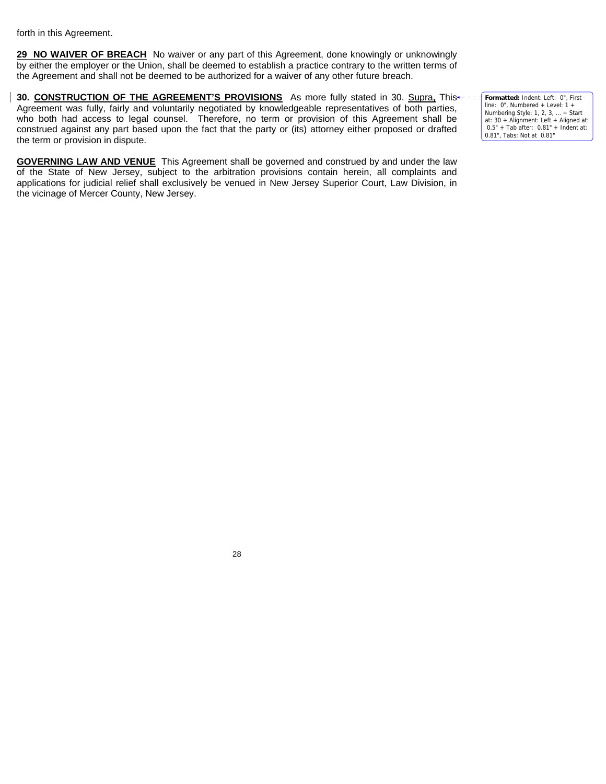forth in this Agreement.

**29 NO WAIVER OF BREACH** No waiver or any part of this Agreement, done knowingly or unknowingly by either the employer or the Union, shall be deemed to establish a practice contrary to the written terms of the Agreement and shall not be deemed to be authorized for a waiver of any other future breach.

**30. CONSTRUCTION OF THE AGREEMENT'S PROVISIONS** As more fully stated in 30. Supra**,** This Agreement was fully, fairly and voluntarily negotiated by knowledgeable representatives of both parties, who both had access to legal counsel. Therefore, no term or provision of this Agreement shall be construed against any part based upon the fact that the party or (its) attorney either proposed or drafted the term or provision in dispute.

**GOVERNING LAW AND VENUE** This Agreement shall be governed and construed by and under the law of the State of New Jersey, subject to the arbitration provisions contain herein, all complaints and applications for judicial relief shall exclusively be venued in New Jersey Superior Court, Law Division, in the vicinage of Mercer County, New Jersey.

**Formatted:** Indent: Left: 0", First line: 0", Numbered + Level: 1 + Numbering Style: 1, 2, 3, … + Start at: 30 + Alignment: Left + Aligned at: 0.5" + Tab after: 0.81" + Indent at: 0.81", Tabs: Not at 0.81"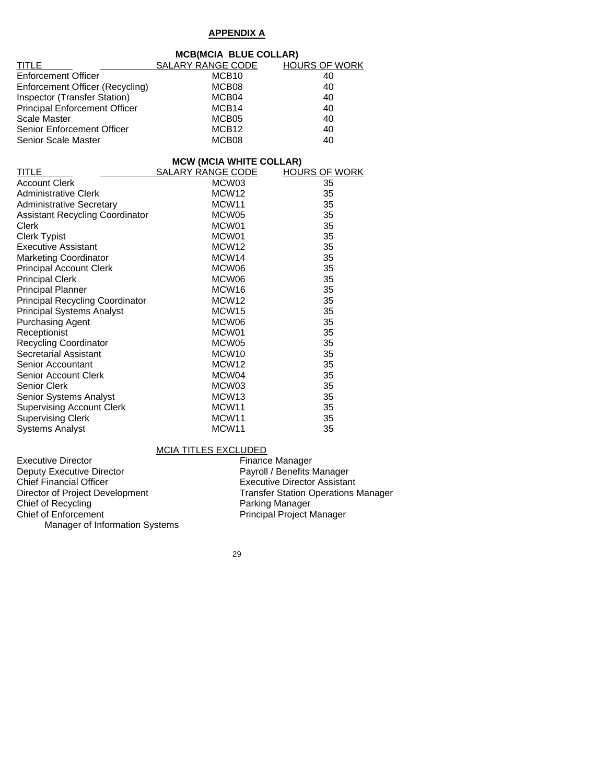# **APPENDIX A**

|                                      | <b>MCB(MCIA BLUE COLLAR)</b>   |                      |
|--------------------------------------|--------------------------------|----------------------|
| TITLE                                | SALARY RANGE CODE              | <b>HOURS OF WORK</b> |
| <b>Enforcement Officer</b>           | MCB <sub>10</sub>              | 40                   |
| Enforcement Officer (Recycling)      | MCB08                          | 40                   |
| Inspector (Transfer Station)         | MCB04                          | 40                   |
| <b>Principal Enforcement Officer</b> | MCB <sub>14</sub>              | 40                   |
| Scale Master                         | MCB05                          | 40                   |
| Senior Enforcement Officer           | MCB <sub>12</sub>              | 40                   |
| Senior Scale Master                  | MCB <sub>08</sub>              | 40                   |
|                                      | <b>MCW (MCIA WHITE COLLAR)</b> |                      |

| <b>TITLE</b>                           | <b>SALARY RANGE CODE</b> | <b>HOURS OF WORK</b> |
|----------------------------------------|--------------------------|----------------------|
| <b>Account Clerk</b>                   | MCW03                    | 35                   |
| <b>Administrative Clerk</b>            | MCW <sub>12</sub>        | 35                   |
| <b>Administrative Secretary</b>        | MCW <sub>11</sub>        | 35                   |
| <b>Assistant Recycling Coordinator</b> | MCW05                    | 35                   |
| Clerk                                  | MCW01                    | 35                   |
| <b>Clerk Typist</b>                    | MCW01                    | 35                   |
| <b>Executive Assistant</b>             | MCW <sub>12</sub>        | 35                   |
| <b>Marketing Coordinator</b>           | MCW <sub>14</sub>        | 35                   |
| <b>Principal Account Clerk</b>         | MCW06                    | 35                   |
| <b>Principal Clerk</b>                 | MCW06                    | 35                   |
| <b>Principal Planner</b>               | MCW <sub>16</sub>        | 35                   |
| <b>Principal Recycling Coordinator</b> | MCW <sub>12</sub>        | 35                   |
| <b>Principal Systems Analyst</b>       | MCW <sub>15</sub>        | 35                   |
| <b>Purchasing Agent</b>                | MCW06                    | 35                   |
| Receptionist                           | MCW01                    | 35                   |
| <b>Recycling Coordinator</b>           | MCW05                    | 35                   |
| Secretarial Assistant                  | MCW <sub>10</sub>        | 35                   |
| Senior Accountant                      | MCW <sub>12</sub>        | 35                   |
| <b>Senior Account Clerk</b>            | MCW04                    | 35                   |
| <b>Senior Clerk</b>                    | MCW03                    | 35                   |
| <b>Senior Systems Analyst</b>          | MCW <sub>13</sub>        | 35                   |
| <b>Supervising Account Clerk</b>       | MCW <sub>11</sub>        | 35                   |
| <b>Supervising Clerk</b>               | MCW <sub>11</sub>        | 35                   |
| <b>Systems Analyst</b>                 | MCW <sub>11</sub>        | 35                   |

MCIA TITLES EXCLUDED<br>Executive Director Finance Executive Director<br>
Deputy Executive Director<br>
Payroll / Benefits I Deputy Executive Director **Payroll / Benefits Manager**<br>
Chief Financial Officer<br>
Chief Financial Officer Chief Financial Officer Executive Director Assistant<br>
Director of Project Development<br>
Transfer Station Operations Transfer Station Operations Manager<br>Parking Manager Chief of Recycling<br>Chief of Enforcement Principal Project Manager Manager of Information Systems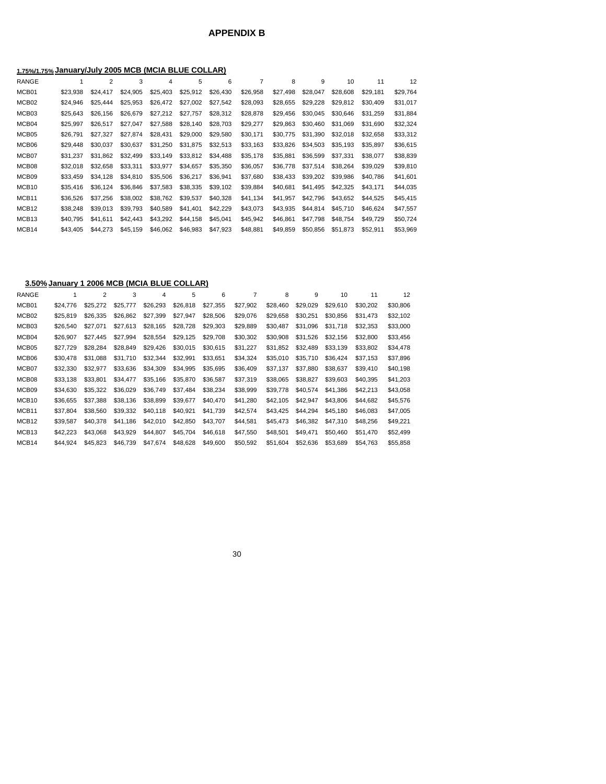# **APPENDIX B**

# **1.75%/1.75% January/July 2005 MCB (MCIA BLUE COLLAR)**

| <b>RANGE</b>      |          | $\overline{2}$ | 3        | 4        | 5        | 6        |          | 8        | 9        | 10       | 11       | 12       |
|-------------------|----------|----------------|----------|----------|----------|----------|----------|----------|----------|----------|----------|----------|
| MCB01             | \$23.938 | \$24,417       | \$24,905 | \$25,403 | \$25,912 | \$26,430 | \$26,958 | \$27.498 | \$28,047 | \$28,608 | \$29.181 | \$29,764 |
| MCB <sub>02</sub> | \$24,946 | \$25,444       | \$25,953 | \$26,472 | \$27,002 | \$27,542 | \$28,093 | \$28,655 | \$29,228 | \$29.812 | \$30,409 | \$31,017 |
| MCB03             | \$25,643 | \$26,156       | \$26,679 | \$27,212 | \$27,757 | \$28,312 | \$28,878 | \$29,456 | \$30,045 | \$30,646 | \$31,259 | \$31,884 |
| MCB04             | \$25,997 | \$26,517       | \$27.047 | \$27.588 | \$28,140 | \$28,703 | \$29,277 | \$29.863 | \$30.460 | \$31.069 | \$31.690 | \$32,324 |
| MCB05             | \$26,791 | \$27.327       | \$27.874 | \$28,431 | \$29,000 | \$29,580 | \$30,171 | \$30.775 | \$31,390 | \$32,018 | \$32,658 | \$33,312 |
| MCB06             | \$29,448 | \$30,037       | \$30,637 | \$31,250 | \$31,875 | \$32,513 | \$33,163 | \$33,826 | \$34,503 | \$35,193 | \$35.897 | \$36,615 |
| MCB07             | \$31,237 | \$31.862       | \$32,499 | \$33,149 | \$33.812 | \$34,488 | \$35,178 | \$35.881 | \$36,599 | \$37,331 | \$38,077 | \$38,839 |
| MCB08             | \$32,018 | \$32.658       | \$33,311 | \$33,977 | \$34.657 | \$35,350 | \$36,057 | \$36,778 | \$37,514 | \$38.264 | \$39.029 | \$39,810 |
| MCB09             | \$33,459 | \$34.128       | \$34,810 | \$35,506 | \$36,217 | \$36,941 | \$37,680 | \$38,433 | \$39,202 | \$39,986 | \$40,786 | \$41,601 |
| MCB <sub>10</sub> | \$35,416 | \$36.124       | \$36,846 | \$37.583 | \$38.335 | \$39.102 | \$39.884 | \$40.681 | \$41.495 | \$42,325 | \$43.171 | \$44,035 |
| MCB <sub>11</sub> | \$36,526 | \$37,256       | \$38,002 | \$38.762 | \$39.537 | \$40,328 | \$41,134 | \$41.957 | \$42.796 | \$43,652 | \$44.525 | \$45,415 |
| MCB <sub>12</sub> | \$38,248 | \$39,013       | \$39.793 | \$40,589 | \$41,401 | \$42,229 | \$43,073 | \$43.935 | \$44,814 | \$45,710 | \$46.624 | \$47,557 |
| MCB <sub>13</sub> | \$40.795 | \$41.611       | \$42,443 | \$43,292 | \$44,158 | \$45.041 | \$45.942 | \$46.861 | \$47,798 | \$48,754 | \$49.729 | \$50,724 |
| MCB <sub>14</sub> | \$43,405 | \$44,273       | \$45,159 | \$46,062 | \$46.983 | \$47,923 | \$48,881 | \$49.859 | \$50.856 | \$51,873 | \$52,911 | \$53,969 |

#### **3.50% January 1 2006 MCB (MCIA BLUE COLLAR)**

| RANGE             |          | 2        | 3        | 4        | 5        | 6        |          | 8        | 9        | 10       | 11       | 12       |
|-------------------|----------|----------|----------|----------|----------|----------|----------|----------|----------|----------|----------|----------|
| MCB01             | \$24,776 | \$25,272 | \$25,777 | \$26,293 | \$26,818 | \$27,355 | \$27,902 | \$28,460 | \$29,029 | \$29,610 | \$30,202 | \$30,806 |
| MCB02             | \$25.819 | \$26,335 | \$26.862 | \$27,399 | \$27,947 | \$28,506 | \$29,076 | \$29.658 | \$30,251 | \$30.856 | \$31.473 | \$32,102 |
| MCB03             | \$26,540 | \$27.071 | \$27.613 | \$28,165 | \$28,728 | \$29,303 | \$29,889 | \$30,487 | \$31.096 | \$31,718 | \$32,353 | \$33,000 |
| MCB04             | \$26,907 | \$27.445 | \$27.994 | \$28.554 | \$29,125 | \$29,708 | \$30,302 | \$30,908 | \$31.526 | \$32,156 | \$32,800 | \$33,456 |
| MCB05             | \$27.729 | \$28.284 | \$28.849 | \$29,426 | \$30,015 | \$30,615 | \$31,227 | \$31.852 | \$32,489 | \$33,139 | \$33,802 | \$34,478 |
| MCB06             | \$30,478 | \$31.088 | \$31.710 | \$32,344 | \$32,991 | \$33,651 | \$34.324 | \$35,010 | \$35,710 | \$36.424 | \$37.153 | \$37,896 |
| MCB07             | \$32,330 | \$32.977 | \$33.636 | \$34.309 | \$34.995 | \$35.695 | \$36,409 | \$37.137 | \$37.880 | \$38,637 | \$39,410 | \$40,198 |
| MCB08             | \$33,138 | \$33,801 | \$34.477 | \$35,166 | \$35,870 | \$36,587 | \$37,319 | \$38,065 | \$38,827 | \$39,603 | \$40.395 | \$41,203 |
| MCB09             | \$34.630 | \$35.322 | \$36.029 | \$36.749 | \$37.484 | \$38,234 | \$38,999 | \$39,778 | \$40,574 | \$41,386 | \$42,213 | \$43,058 |
| MCB <sub>10</sub> | \$36.655 | \$37.388 | \$38.136 | \$38,899 | \$39.677 | \$40,470 | \$41.280 | \$42,105 | \$42.947 | \$43,806 | \$44.682 | \$45,576 |
| MCB <sub>11</sub> | \$37.804 | \$38,560 | \$39.332 | \$40,118 | \$40,921 | \$41,739 | \$42,574 | \$43.425 | \$44,294 | \$45.180 | \$46,083 | \$47,005 |
| MCB <sub>12</sub> | \$39,587 | \$40,378 | \$41,186 | \$42,010 | \$42,850 | \$43,707 | \$44,581 | \$45,473 | \$46,382 | \$47,310 | \$48,256 | \$49,221 |
| MCB <sub>13</sub> | \$42,223 | \$43.068 | \$43.929 | \$44.807 | \$45.704 | \$46,618 | \$47,550 | \$48,501 | \$49.471 | \$50,460 | \$51,470 | \$52,499 |
| MCB14             | \$44.924 | \$45,823 | \$46,739 | \$47,674 | \$48,628 | \$49,600 | \$50,592 | \$51,604 | \$52,636 | \$53,689 | \$54,763 | \$55,858 |
|                   |          |          |          |          |          |          |          |          |          |          |          |          |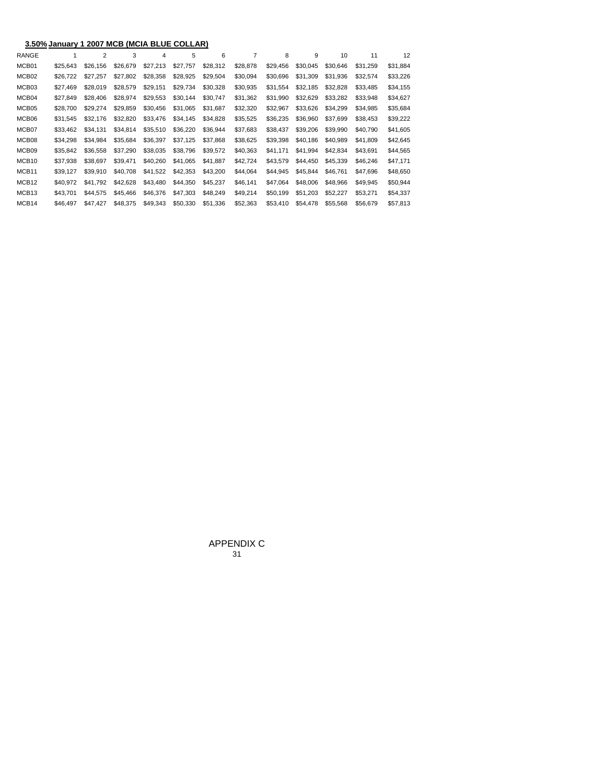|                   | 3.50% January 1 2007 MCB (MCIA BLUE COLLAR) |          |          |          |          |          |          |          |          |          |          |          |  |  |
|-------------------|---------------------------------------------|----------|----------|----------|----------|----------|----------|----------|----------|----------|----------|----------|--|--|
| <b>RANGE</b>      |                                             | 2        | 3        | 4        | 5        | 6        | 7        | 8        | 9        | 10       | 11       | 12       |  |  |
| MCB01             | \$25.643                                    | \$26.156 | \$26,679 | \$27,213 | \$27,757 | \$28,312 | \$28.878 | \$29.456 | \$30,045 | \$30.646 | \$31.259 | \$31,884 |  |  |
| MCB <sub>02</sub> | \$26,722                                    | \$27,257 | \$27,802 | \$28,358 | \$28,925 | \$29,504 | \$30,094 | \$30.696 | \$31,309 | \$31,936 | \$32,574 | \$33,226 |  |  |
| MCB03             | \$27,469                                    | \$28.019 | \$28,579 | \$29.151 | \$29.734 | \$30.328 | \$30,935 | \$31.554 | \$32,185 | \$32,828 | \$33,485 | \$34,155 |  |  |
| MCB04             | \$27,849                                    | \$28,406 | \$28,974 | \$29,553 | \$30,144 | \$30,747 | \$31,362 | \$31.990 | \$32,629 | \$33,282 | \$33,948 | \$34,627 |  |  |
| MCB05             | \$28,700                                    | \$29.274 | \$29.859 | \$30,456 | \$31.065 | \$31.687 | \$32,320 | \$32,967 | \$33.626 | \$34.299 | \$34.985 | \$35,684 |  |  |
| MCB06             | \$31.545                                    | \$32,176 | \$32,820 | \$33,476 | \$34,145 | \$34.828 | \$35,525 | \$36,235 | \$36,960 | \$37,699 | \$38,453 | \$39,222 |  |  |
| MCB07             | \$33,462                                    | \$34.131 | \$34.814 | \$35,510 | \$36.220 | \$36.944 | \$37.683 | \$38,437 | \$39,206 | \$39.990 | \$40.790 | \$41,605 |  |  |
| MCB08             | \$34.298                                    | \$34.984 | \$35.684 | \$36,397 | \$37.125 | \$37.868 | \$38,625 | \$39.398 | \$40,186 | \$40.989 | \$41.809 | \$42,645 |  |  |
| MCB09             | \$35,842                                    | \$36,558 | \$37,290 | \$38,035 | \$38,796 | \$39,572 | \$40,363 | \$41,171 | \$41,994 | \$42,834 | \$43,691 | \$44,565 |  |  |
| MCB <sub>10</sub> | \$37,938                                    | \$38,697 | \$39,471 | \$40,260 | \$41.065 | \$41.887 | \$42,724 | \$43.579 | \$44,450 | \$45.339 | \$46,246 | \$47,171 |  |  |
| MCB11             | \$39,127                                    | \$39.910 | \$40,708 | \$41,522 | \$42,353 | \$43,200 | \$44,064 | \$44.945 | \$45,844 | \$46,761 | \$47,696 | \$48,650 |  |  |
| MCB <sub>12</sub> | \$40.972                                    | \$41.792 | \$42,628 | \$43,480 | \$44.350 | \$45,237 | \$46,141 | \$47.064 | \$48,006 | \$48,966 | \$49.945 | \$50,944 |  |  |
| MCB <sub>13</sub> | \$43,701                                    | \$44,575 | \$45,466 | \$46,376 | \$47,303 | \$48,249 | \$49,214 | \$50,199 | \$51,203 | \$52,227 | \$53,271 | \$54,337 |  |  |
| MCB <sub>14</sub> | \$46,497                                    | \$47,427 | \$48,375 | \$49,343 | \$50,330 | \$51,336 | \$52,363 | \$53,410 | \$54,478 | \$55,568 | \$56,679 | \$57,813 |  |  |

31 APPENDIX C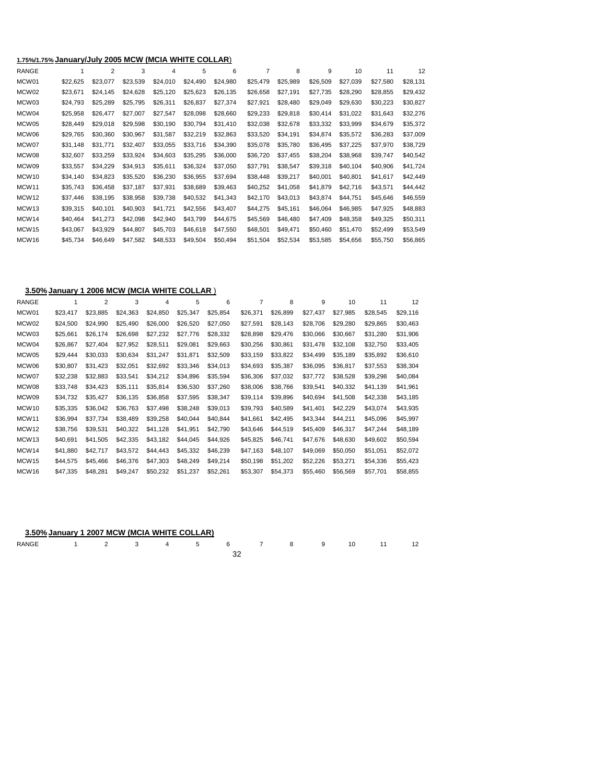# **1.75%/1.75% January/July 2005 MCW (MCIA WHITE COLLAR**)

| <b>RANGE</b>      |          | $\overline{2}$ | 3        | 4        | 5        | 6        |          | 8        | 9        | 10       | 11       | 12       |
|-------------------|----------|----------------|----------|----------|----------|----------|----------|----------|----------|----------|----------|----------|
| MCW01             | \$22,625 | \$23,077       | \$23,539 | \$24,010 | \$24,490 | \$24,980 | \$25,479 | \$25,989 | \$26,509 | \$27,039 | \$27,580 | \$28,131 |
| MCW02             | \$23,671 | \$24,145       | \$24,628 | \$25,120 | \$25,623 | \$26,135 | \$26,658 | \$27,191 | \$27,735 | \$28,290 | \$28,855 | \$29,432 |
| MCW03             | \$24,793 | \$25,289       | \$25,795 | \$26,311 | \$26,837 | \$27,374 | \$27,921 | \$28,480 | \$29,049 | \$29,630 | \$30,223 | \$30,827 |
| MCW04             | \$25,958 | \$26,477       | \$27,007 | \$27,547 | \$28,098 | \$28,660 | \$29,233 | \$29,818 | \$30,414 | \$31,022 | \$31,643 | \$32,276 |
| MCW05             | \$28,449 | \$29.018       | \$29.598 | \$30,190 | \$30.794 | \$31,410 | \$32,038 | \$32,678 | \$33,332 | \$33,999 | \$34,679 | \$35,372 |
| MCW06             | \$29,765 | \$30,360       | \$30,967 | \$31,587 | \$32,219 | \$32,863 | \$33,520 | \$34,191 | \$34,874 | \$35,572 | \$36,283 | \$37,009 |
| MCW07             | \$31,148 | \$31,771       | \$32,407 | \$33,055 | \$33,716 | \$34,390 | \$35,078 | \$35,780 | \$36,495 | \$37,225 | \$37,970 | \$38,729 |
| MCW08             | \$32,607 | \$33,259       | \$33,924 | \$34,603 | \$35,295 | \$36,000 | \$36,720 | \$37,455 | \$38,204 | \$38,968 | \$39,747 | \$40,542 |
| MCW09             | \$33,557 | \$34,229       | \$34,913 | \$35,611 | \$36,324 | \$37,050 | \$37,791 | \$38,547 | \$39,318 | \$40,104 | \$40,906 | \$41,724 |
| MCW <sub>10</sub> | \$34,140 | \$34,823       | \$35,520 | \$36,230 | \$36,955 | \$37,694 | \$38,448 | \$39,217 | \$40,001 | \$40,801 | \$41,617 | \$42,449 |
| MCW11             | \$35,743 | \$36,458       | \$37,187 | \$37,931 | \$38,689 | \$39,463 | \$40,252 | \$41,058 | \$41,879 | \$42,716 | \$43,571 | \$44,442 |
| MCW12             | \$37,446 | \$38,195       | \$38,958 | \$39,738 | \$40,532 | \$41,343 | \$42,170 | \$43,013 | \$43,874 | \$44,751 | \$45,646 | \$46,559 |
| MCW <sub>13</sub> | \$39,315 | \$40,101       | \$40,903 | \$41,721 | \$42,556 | \$43,407 | \$44,275 | \$45,161 | \$46,064 | \$46,985 | \$47,925 | \$48,883 |
| MCW14             | \$40,464 | \$41,273       | \$42,098 | \$42,940 | \$43,799 | \$44,675 | \$45,569 | \$46,480 | \$47,409 | \$48,358 | \$49,325 | \$50,311 |
| MCW15             | \$43,067 | \$43,929       | \$44.807 | \$45,703 | \$46,618 | \$47,550 | \$48,501 | \$49,471 | \$50,460 | \$51,470 | \$52,499 | \$53,549 |
| MCW <sub>16</sub> | \$45,734 | \$46.649       | \$47,582 | \$48,533 | \$49.504 | \$50.494 | \$51,504 | \$52,534 | \$53.585 | \$54.656 | \$55,750 | \$56,865 |
|                   |          |                |          |          |          |          |          |          |          |          |          |          |

#### **3.50% January 1 2006 MCW (MCIA WHITE COLLAR** )

| RANGE             |          | $\overline{2}$ | 3        | 4        | 5        | 6        |          | 8        | 9        | 10       | 11       | 12       |
|-------------------|----------|----------------|----------|----------|----------|----------|----------|----------|----------|----------|----------|----------|
| MCW01             | \$23,417 | \$23.885       | \$24,363 | \$24,850 | \$25,347 | \$25,854 | \$26,371 | \$26,899 | \$27,437 | \$27.985 | \$28,545 | \$29,116 |
| MCW <sub>02</sub> | \$24,500 | \$24.990       | \$25,490 | \$26,000 | \$26,520 | \$27,050 | \$27,591 | \$28,143 | \$28,706 | \$29,280 | \$29.865 | \$30,463 |
| MCW <sub>03</sub> | \$25,661 | \$26,174       | \$26,698 | \$27,232 | \$27,776 | \$28,332 | \$28,898 | \$29,476 | \$30,066 | \$30,667 | \$31,280 | \$31,906 |
| MCW04             | \$26,867 | \$27,404       | \$27,952 | \$28,511 | \$29.081 | \$29,663 | \$30,256 | \$30,861 | \$31,478 | \$32,108 | \$32,750 | \$33,405 |
| MCW <sub>05</sub> | \$29,444 | \$30,033       | \$30,634 | \$31,247 | \$31,871 | \$32,509 | \$33,159 | \$33,822 | \$34,499 | \$35,189 | \$35,892 | \$36,610 |
| MCW06             | \$30,807 | \$31.423       | \$32,051 | \$32,692 | \$33.346 | \$34,013 | \$34,693 | \$35,387 | \$36,095 | \$36,817 | \$37,553 | \$38,304 |
| MCW07             | \$32,238 | \$32,883       | \$33,541 | \$34,212 | \$34,896 | \$35,594 | \$36,306 | \$37,032 | \$37,772 | \$38,528 | \$39,298 | \$40,084 |
| MCW08             | \$33,748 | \$34,423       | \$35,111 | \$35,814 | \$36,530 | \$37,260 | \$38,006 | \$38,766 | \$39,541 | \$40,332 | \$41,139 | \$41,961 |
| MCW09             | \$34,732 | \$35,427       | \$36,135 | \$36,858 | \$37,595 | \$38,347 | \$39,114 | \$39,896 | \$40,694 | \$41,508 | \$42,338 | \$43,185 |
| MCW <sub>10</sub> | \$35,335 | \$36,042       | \$36,763 | \$37,498 | \$38,248 | \$39,013 | \$39,793 | \$40,589 | \$41,401 | \$42,229 | \$43,074 | \$43,935 |
| MCW11             | \$36,994 | \$37,734       | \$38,489 | \$39,258 | \$40.044 | \$40,844 | \$41,661 | \$42,495 | \$43,344 | \$44,211 | \$45,096 | \$45,997 |
| MCW <sub>12</sub> | \$38,756 | \$39,531       | \$40,322 | \$41,128 | \$41,951 | \$42,790 | \$43,646 | \$44,519 | \$45,409 | \$46,317 | \$47,244 | \$48,189 |
| MCW <sub>13</sub> | \$40,691 | \$41,505       | \$42,335 | \$43,182 | \$44.045 | \$44,926 | \$45,825 | \$46,741 | \$47,676 | \$48,630 | \$49,602 | \$50,594 |
| MCW <sub>14</sub> | \$41,880 | \$42,717       | \$43,572 | \$44,443 | \$45,332 | \$46,239 | \$47,163 | \$48,107 | \$49,069 | \$50,050 | \$51,051 | \$52,072 |
| MCW <sub>15</sub> | \$44,575 | \$45,466       | \$46,376 | \$47,303 | \$48.249 | \$49,214 | \$50,198 | \$51,202 | \$52,226 | \$53,271 | \$54,336 | \$55,423 |
| MCW <sub>16</sub> | \$47,335 | \$48.281       | \$49,247 | \$50,232 | \$51,237 | \$52,261 | \$53,307 | \$54,373 | \$55,460 | \$56,569 | \$57,701 | \$58,855 |
|                   |          |                |          |          |          |          |          |          |          |          |          |          |

| 3.50% January 1 2007 MCW (MCIA WHITE COLLAR) |  |  |  |  |    |  |
|----------------------------------------------|--|--|--|--|----|--|
| RANGE 1 2 3 4 5 6 7 8 9                      |  |  |  |  | 10 |  |
|                                              |  |  |  |  |    |  |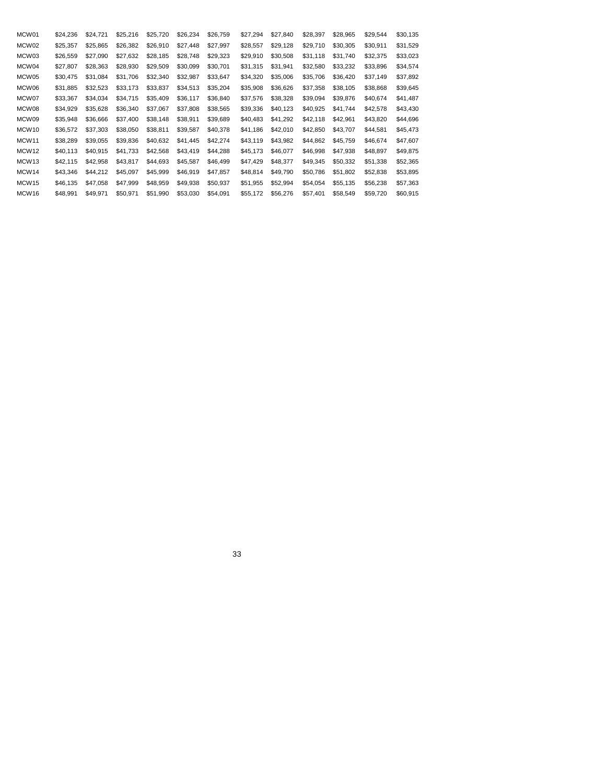| MCW01             | \$24,236 | \$24,721 | \$25,216 | \$25,720 | \$26,234 | \$26,759 | \$27,294 | \$27,840 | \$28,397 | \$28,965 | \$29,544 | \$30,135 |
|-------------------|----------|----------|----------|----------|----------|----------|----------|----------|----------|----------|----------|----------|
| MCW02             | \$25,357 | \$25.865 | \$26,382 | \$26,910 | \$27,448 | \$27,997 | \$28,557 | \$29,128 | \$29,710 | \$30,305 | \$30,911 | \$31,529 |
| MCW <sub>03</sub> | \$26,559 | \$27,090 | \$27,632 | \$28,185 | \$28,748 | \$29,323 | \$29,910 | \$30,508 | \$31,118 | \$31,740 | \$32,375 | \$33,023 |
| MCW04             | \$27,807 | \$28,363 | \$28,930 | \$29,509 | \$30,099 | \$30,701 | \$31,315 | \$31,941 | \$32,580 | \$33,232 | \$33,896 | \$34,574 |
| MCW05             | \$30,475 | \$31.084 | \$31.706 | \$32,340 | \$32,987 | \$33,647 | \$34,320 | \$35,006 | \$35,706 | \$36,420 | \$37,149 | \$37,892 |
| MCW06             | \$31,885 | \$32,523 | \$33,173 | \$33,837 | \$34,513 | \$35,204 | \$35,908 | \$36,626 | \$37,358 | \$38,105 | \$38,868 | \$39,645 |
| MCW07             | \$33,367 | \$34,034 | \$34.715 | \$35,409 | \$36,117 | \$36,840 | \$37,576 | \$38,328 | \$39,094 | \$39,876 | \$40,674 | \$41,487 |
| MCW08             | \$34,929 | \$35,628 | \$36,340 | \$37,067 | \$37,808 | \$38,565 | \$39,336 | \$40,123 | \$40,925 | \$41,744 | \$42,578 | \$43,430 |
| MCW09             | \$35,948 | \$36,666 | \$37,400 | \$38,148 | \$38,911 | \$39,689 | \$40.483 | \$41,292 | \$42,118 | \$42,961 | \$43,820 | \$44,696 |
| MCW <sub>10</sub> | \$36,572 | \$37,303 | \$38,050 | \$38,811 | \$39,587 | \$40,378 | \$41,186 | \$42,010 | \$42,850 | \$43,707 | \$44,581 | \$45,473 |
| MCW <sub>11</sub> | \$38,289 | \$39,055 | \$39,836 | \$40,632 | \$41,445 | \$42,274 | \$43,119 | \$43,982 | \$44,862 | \$45,759 | \$46,674 | \$47,607 |
| MCW <sub>12</sub> | \$40,113 | \$40,915 | \$41,733 | \$42,568 | \$43,419 | \$44,288 | \$45,173 | \$46,077 | \$46,998 | \$47,938 | \$48,897 | \$49,875 |
| MCW <sub>13</sub> | \$42,115 | \$42,958 | \$43,817 | \$44,693 | \$45,587 | \$46,499 | \$47,429 | \$48,377 | \$49,345 | \$50,332 | \$51,338 | \$52,365 |
| MCW <sub>14</sub> | \$43,346 | \$44,212 | \$45,097 | \$45,999 | \$46,919 | \$47,857 | \$48,814 | \$49,790 | \$50,786 | \$51,802 | \$52,838 | \$53,895 |
| MCW <sub>15</sub> | \$46,135 | \$47,058 | \$47,999 | \$48,959 | \$49,938 | \$50,937 | \$51,955 | \$52,994 | \$54,054 | \$55,135 | \$56,238 | \$57,363 |
| MCW <sub>16</sub> | \$48,991 | \$49,971 | \$50,971 | \$51,990 | \$53,030 | \$54,091 | \$55,172 | \$56,276 | \$57,401 | \$58,549 | \$59,720 | \$60,915 |
|                   |          |          |          |          |          |          |          |          |          |          |          |          |